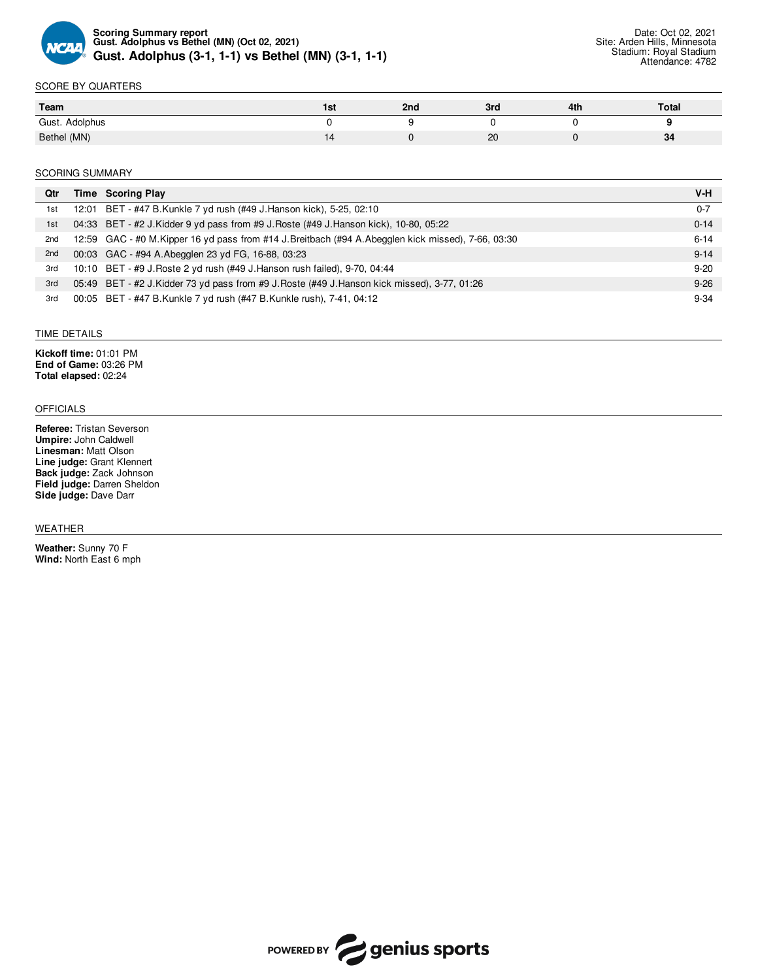

### SCORE BY QUARTERS

| Team           | IST | 2 <sub>nd</sub> | 3rd      | 4th | Total |
|----------------|-----|-----------------|----------|-----|-------|
| Gust. Adolphus |     |                 |          |     |       |
| Bethel (MN)    |     |                 | or<br>ZU |     | 34    |

#### SCORING SUMMARY

| Qtr | Time Scoring Play                                                                                 | V-H      |
|-----|---------------------------------------------------------------------------------------------------|----------|
| 1st | 12:01 BET - #47 B.Kunkle 7 yd rush (#49 J.Hanson kick), 5-25, 02:10                               | $0 - 7$  |
| 1st | 04:33 BET - #2 J. Kidder 9 yd pass from #9 J. Roste (#49 J. Hanson kick), 10-80, 05:22            | $0 - 14$ |
| 2nd | 12:59 GAC - #0 M.Kipper 16 yd pass from #14 J.Breitbach (#94 A.Abegglen kick missed), 7-66, 03:30 | $6 - 14$ |
| 2nd | 00:03 GAC - #94 A.Abegglen 23 yd FG, 16-88, 03:23                                                 | $9 - 14$ |
| 3rd | 10:10 BET - #9 J. Roste 2 yd rush (#49 J. Hanson rush failed), 9-70, 04:44                        | $9 - 20$ |
| 3rd | 05:49 BET - #2 J.Kidder 73 yd pass from #9 J.Roste (#49 J.Hanson kick missed), 3-77, 01:26        | $9 - 26$ |
| 3rd | 00:05 BET - #47 B.Kunkle 7 yd rush (#47 B.Kunkle rush), 7-41, 04:12                               | $9 - 34$ |

## TIME DETAILS

**Kickoff time:** 01:01 PM **End of Game:** 03:26 PM **Total elapsed:** 02:24

## OFFICIALS

**Referee:** Tristan Severson **Umpire:** John Caldwell **Linesman:** Matt Olson **Line judge:** Grant Klennert **Back judge:** Zack Johnson **Field judge:** Darren Sheldon **Side judge:** Dave Darr

#### WEATHER

**Weather:** Sunny 70 F **Wind:** North East 6 mph

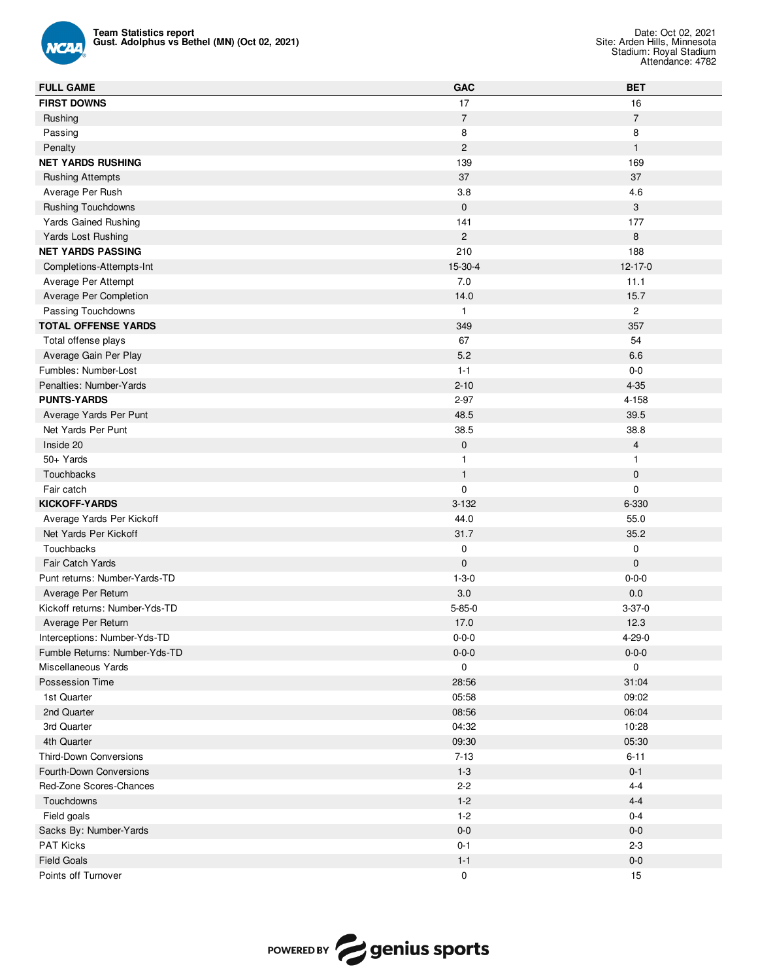

| <b>FULL GAME</b>               | GAC            | <b>BET</b>     |
|--------------------------------|----------------|----------------|
| <b>FIRST DOWNS</b>             | 17             | 16             |
| Rushing                        | $\sqrt{7}$     | $\overline{7}$ |
| Passing                        | 8              | 8              |
| Penalty                        | $\overline{c}$ | $\mathbf{1}$   |
| <b>NET YARDS RUSHING</b>       | 139            | 169            |
| <b>Rushing Attempts</b>        | 37             | 37             |
| Average Per Rush               | 3.8            | 4.6            |
| <b>Rushing Touchdowns</b>      | $\mathbf 0$    | 3              |
| Yards Gained Rushing           | 141            | 177            |
| Yards Lost Rushing             | $\overline{c}$ | 8              |
| <b>NET YARDS PASSING</b>       | 210            | 188            |
| Completions-Attempts-Int       | 15-30-4        | $12 - 17 - 0$  |
| Average Per Attempt            | 7.0            | 11.1           |
| Average Per Completion         | 14.0           | 15.7           |
| Passing Touchdowns             | $\mathbf{1}$   | $\mathbf{2}$   |
| <b>TOTAL OFFENSE YARDS</b>     | 349            | 357            |
| Total offense plays            | 67             | 54             |
| Average Gain Per Play          | 5.2            | 6.6            |
| Fumbles: Number-Lost           | $1 - 1$        | $0-0$          |
| Penalties: Number-Yards        | $2 - 10$       | $4 - 35$       |
| <b>PUNTS-YARDS</b>             | $2 - 97$       | $4 - 158$      |
| Average Yards Per Punt         | 48.5           | 39.5           |
| Net Yards Per Punt             | 38.5           | 38.8           |
| Inside 20                      | $\pmb{0}$      | $\overline{4}$ |
| 50+ Yards                      | $\mathbf{1}$   | $\mathbf{1}$   |
| Touchbacks                     | $\mathbf{1}$   | $\mathbf 0$    |
| Fair catch                     | $\mathbf 0$    | 0              |
| KICKOFF-YARDS                  | $3 - 132$      | 6-330          |
| Average Yards Per Kickoff      | 44.0           | 55.0           |
| Net Yards Per Kickoff          | 31.7           | 35.2           |
| Touchbacks                     | $\pmb{0}$      | 0              |
| Fair Catch Yards               | $\mathbf{0}$   | $\mathbf 0$    |
| Punt returns: Number-Yards-TD  | $1 - 3 - 0$    | $0 - 0 - 0$    |
| Average Per Return             | 3.0            | 0.0            |
| Kickoff returns: Number-Yds-TD | $5 - 85 - 0$   | $3 - 37 - 0$   |
| Average Per Return             | 17.0           | 12.3           |
| Interceptions: Number-Yds-TD   | $0 - 0 - 0$    | $4 - 29 - 0$   |
| Fumble Returns: Number-Yds-TD  | $0 - 0 - 0$    | $0 - 0 - 0$    |
| Miscellaneous Yards            | 0              | 0              |
| Possession Time                | 28:56          | 31:04          |
| 1st Quarter                    | 05:58          | 09:02          |
| 2nd Quarter                    | 08:56          | 06:04          |
| 3rd Quarter                    | 04:32          | 10:28          |
| 4th Quarter                    | 09:30          | 05:30          |
| Third-Down Conversions         | $7 - 13$       | $6 - 11$       |
| Fourth-Down Conversions        | $1 - 3$        | $0 - 1$        |
| Red-Zone Scores-Chances        | $2 - 2$        | $4 - 4$        |
| Touchdowns                     | $1 - 2$        | $4 - 4$        |
| Field goals                    | $1 - 2$        | $0 - 4$        |
| Sacks By: Number-Yards         | $0-0$          | $0-0$          |
| PAT Kicks                      | $0 - 1$        | $2 - 3$        |
| <b>Field Goals</b>             | $1 - 1$        | $0-0$          |
| Points off Turnover            | $\pmb{0}$      | 15             |

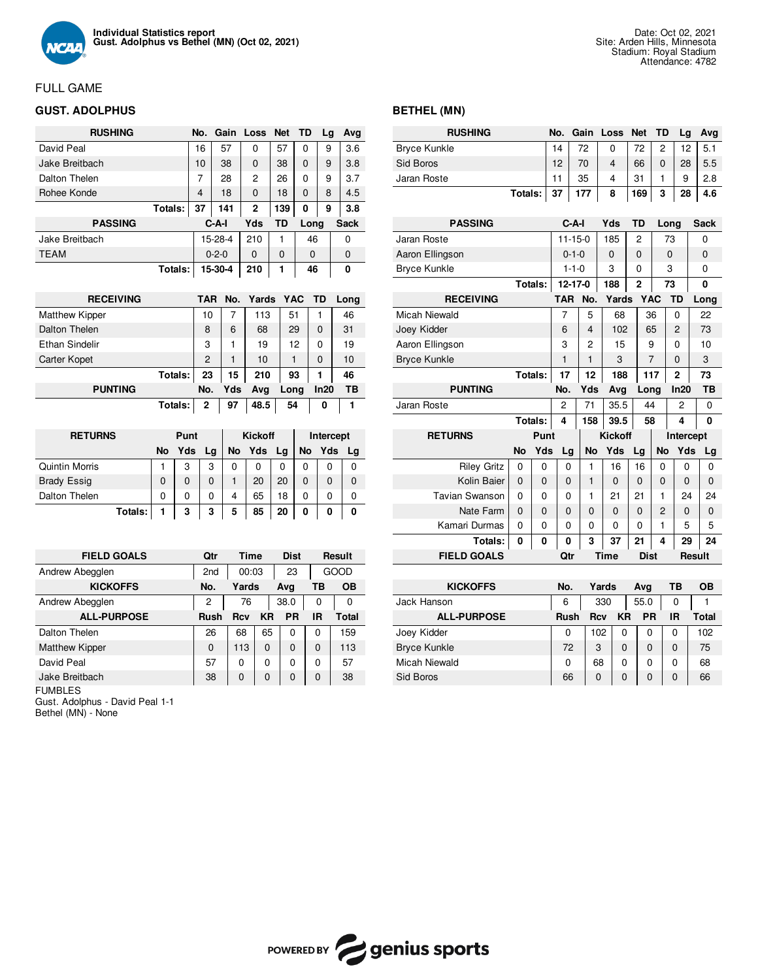

# FULL GAME

# **GUST. ADOLPHUS**

| <b>RUSHING</b> |         | No. |             | Gain Loss Net |     | TD          | Lg | Avg         |
|----------------|---------|-----|-------------|---------------|-----|-------------|----|-------------|
| David Peal     |         | 16  | 57          | $\Omega$      | 57  | 0           | 9  | 3.6         |
| Jake Breitbach |         | 10  | 38          | $\Omega$      | 38  | $\Omega$    | 9  | 3.8         |
| Dalton Thelen  |         | 7   | 28          | 2             | 26  | $\Omega$    | 9  | 3.7         |
| Rohee Konde    |         | 4   | 18          | 0             | 18  | $\Omega$    | 8  | 4.5         |
| Totals:        |         | 37  | 141         | 2             | 139 | 0           | 9  | 3.8         |
| <b>PASSING</b> |         |     | C-A-I       | Yds           | TD  | Long        |    | Sack        |
| Jake Breitbach |         |     | 15-28-4     | 210           | 1   | 46          |    | 0           |
| <b>TEAM</b>    |         |     | $0 - 2 - 0$ | 0             | 0   | $\mathbf 0$ |    | $\mathbf 0$ |
|                | Totals: |     | 15-30-4     | 210           | 1   | 46          |    | 0           |

| <b>RECEIVING</b>      | TAR            | No. | Yards YAC TD |      |          | Long |
|-----------------------|----------------|-----|--------------|------|----------|------|
| <b>Matthew Kipper</b> | 10             |     | 113          | 51   |          | 46   |
| Dalton Thelen         | 8              | 6   | 68           | 29   | $\Omega$ | 31   |
| <b>Ethan Sindelir</b> | 3              |     | 19           | 12   | $\Omega$ | 19   |
| Carter Kopet          | $\overline{c}$ |     | 10           | 1    | $\Omega$ | 10   |
| Totals:               | 23             | 15  | 210          | 93   | 1        | 46   |
| <b>PUNTING</b>        | No.            | Yds | Avg          | Long | In20     | ΤВ   |
| Totals:               | 2              | 97  | 48.5         | 54   | 0        |      |

| <b>RETURNS</b>     | Punt |     |          |    | <b>Kickoff</b> |    |           | Intercept |    |
|--------------------|------|-----|----------|----|----------------|----|-----------|-----------|----|
|                    | No   | Yds | Lg       | No | Yds            | Lg | <b>No</b> | Yds       | La |
| Quintin Morris     |      | 3   | 3        | 0  | 0              | 0  | 0         | 0         | 0  |
| <b>Brady Essig</b> |      | 0   | $\Omega$ |    | 20             | 20 | 0         |           | 0  |
| Dalton Thelen      | 0    | 0   | 0        | 4  | 65             | 18 | 0         | 0         |    |
| Totals:            |      | 3   | 3        | 5  | 85             | 20 | 0         | 0         | 0  |

| <b>FIELD GOALS</b>    | Qtr             | <b>Time</b> |    | <b>Dist</b> |          | Result |
|-----------------------|-----------------|-------------|----|-------------|----------|--------|
| Andrew Abegglen       | 2 <sub>nd</sub> | 00:03       |    | 23          |          | GOOD   |
| <b>KICKOFFS</b>       | No.             | Yards       |    | Ava         | ΤВ       | OВ     |
| Andrew Abegglen       | 2               | 76          |    | 38.0        | 0        | 0      |
| <b>ALL-PURPOSE</b>    | <b>Rush</b>     | Rcv         | KR | <b>PR</b>   | IR       | Total  |
| Dalton Thelen         | 26              | 68          | 65 | 0           | 0        | 159    |
| <b>Matthew Kipper</b> | $\Omega$        | 113         | 0  | $\Omega$    | $\Omega$ | 113    |
| David Peal            | 57              | O           | 0  | $\Omega$    | 0        | 57     |
| Jake Breitbach        | 38              | $\Omega$    | 0  | 0           | $\Omega$ | 38     |

FUMBLES

Gust. Adolphus - David Peal 1-1

Bethel (MN) - None

## **BETHEL (MN)**

| <b>RUSHING</b>        |           |         | No.        |               | Gain |            | Loss           | Net            | TD         |           | Lg             |        | Avg         |
|-----------------------|-----------|---------|------------|---------------|------|------------|----------------|----------------|------------|-----------|----------------|--------|-------------|
| <b>Bryce Kunkle</b>   |           |         | 14         |               | 72   |            | 0              | 72             |            | 2         | 12             |        | 5.1         |
| Sid Boros             |           |         | 12         |               | 70   |            | 4              | 66             |            | $\Omega$  | 28             |        | 5.5         |
| Jaran Roste           |           |         | 11         |               | 35   |            | 4              | 31             |            | 1         | 9              |        | 2.8         |
|                       | Totals:   |         | 37         |               | 177  |            | 8              | 169            |            | 3         | 28             |        | 4.6         |
|                       |           |         |            |               |      |            |                |                |            |           |                |        |             |
| <b>PASSING</b>        |           |         |            | C-A-I         |      |            | Yds            | TD             |            | Long      |                |        | <b>Sack</b> |
| Jaran Roste           |           |         |            | $11 - 15 - 0$ |      |            | 185            | 2              |            | 73        |                |        | 0           |
| Aaron Ellingson       |           |         |            | $0 - 1 - 0$   |      |            | 0              | 0              |            | 0         |                |        | 0           |
| <b>Bryce Kunkle</b>   |           |         |            | $1 - 1 - 0$   |      |            | 3              | 0              |            | 3         |                |        | 0           |
|                       |           | Totals: |            | 12-17-0       |      |            | 188            | $\overline{2}$ |            | 73        |                |        | 0           |
| <b>RECEIVING</b>      |           |         | <b>TAR</b> |               | No.  |            | Yards          |                | <b>YAC</b> |           | <b>TD</b>      |        | Long        |
| <b>Micah Niewald</b>  |           |         | 7          |               | 5    |            | 68             |                | 36         |           | 0              |        | 22          |
| Joey Kidder           |           |         | 6          |               | 4    |            | 102            |                | 65         |           | 2              |        | 73          |
| Aaron Ellingson       |           |         | 3          |               | 2    |            | 15             |                | 9          |           | 0              |        | 10          |
| <b>Bryce Kunkle</b>   |           |         | 1          |               | 1    |            | 3              |                | 7          |           | 0              |        | 3           |
|                       |           | Totals: | 17         |               | 12   |            | 188            |                | 117        |           | $\overline{2}$ |        | 73          |
| <b>PUNTING</b>        |           |         | No.        |               | Yds  |            | Avg            |                | Long       |           | ln20           |        | ΤВ          |
| Jaran Roste           |           |         | 2          |               | 71   |            | 35.5           |                | 44         |           | 2              |        | 0           |
|                       |           | Totals: | 4          |               | 158  |            | 39.5           |                | 58         |           | 4              |        | 0           |
| <b>RETURNS</b>        |           | Punt    |            |               |      |            | <b>Kickoff</b> |                |            |           | Intercept      |        |             |
|                       | <b>No</b> | Yds     |            | Lg            | No   |            | Yds            | Lg             |            | <b>No</b> | Yds            |        | Lg          |
| <b>Riley Gritz</b>    | 0         | 0       |            | 0             | 1    |            | 16             | 16             |            | 0         | 0              |        | 0           |
| Kolin Baier           | 0         | 0       |            | 0             | 1    |            | 0              | 0              |            | 0         | 0              |        | 0           |
| <b>Tavian Swanson</b> | 0         | 0       |            | 0             | 1    |            | 21             | 21             |            | 1         | 24             |        | 24          |
| Nate Farm             | 0         | 0       |            | 0             | 0    |            | 0              | 0              |            | 2         | 0              |        | 0           |
| Kamari Durmas         | 0         | 0       |            | 0             | 0    |            | 0              | 0              |            | 1         | 5              |        | 5           |
| Totals:               | 0         | 0       |            | 0             | 3    |            | 37             | 21             |            | 4         | 29             |        | 24          |
| <b>FIELD GOALS</b>    |           |         |            | Qtr           |      | Time       |                | <b>Dist</b>    |            |           |                | Result |             |
|                       |           |         |            |               |      |            |                |                |            |           |                |        |             |
| <b>KICKOFFS</b>       |           |         | No.        |               |      | Yards      |                | Avg            |            |           | ТB             |        | OВ          |
| Jack Hanson           |           |         | 6          |               |      | 330        |                | 55.0           |            |           | 0              |        | 1           |
| <b>ALL-PURPOSE</b>    |           |         |            | Rush          |      | <b>Rcv</b> | ΚR             |                | PR         |           | IR             |        | Total       |
| Joey Kidder           |           |         |            | 0             |      | 102        | 0              |                | 0          |           | 0              |        | 102         |
| <b>Bryce Kunkle</b>   |           |         |            | 72            |      | 3          | 0              |                | 0          |           | $\Omega$       |        | 75          |

Micah Niewald 0 68 0 0 0 68 Sid Boros 66 0 0 0 0 66

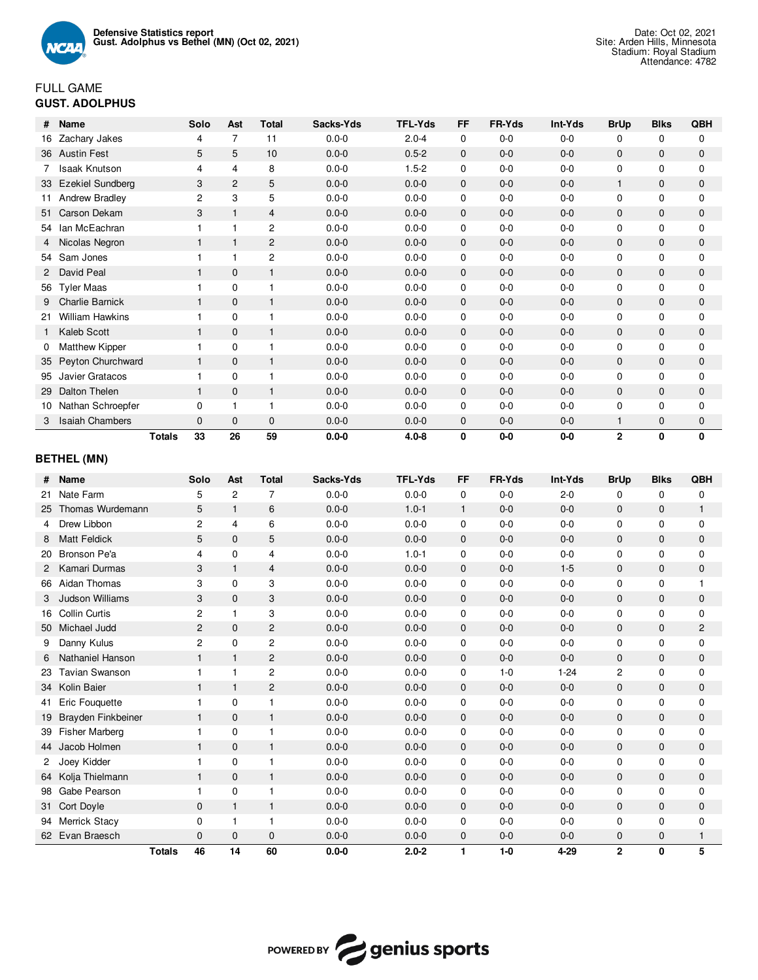

# FULL GAME **GUST. ADOLPHUS**

| #            | Name                    |               | Solo           | Ast            | <b>Total</b>   | Sacks-Yds | <b>TFL-Yds</b> | FF           | FR-Yds | Int-Yds | <b>BrUp</b>  | <b>Blks</b>  | QBH          |
|--------------|-------------------------|---------------|----------------|----------------|----------------|-----------|----------------|--------------|--------|---------|--------------|--------------|--------------|
| 16           | Zachary Jakes           |               | 4              | $\overline{7}$ | 11             | $0.0 - 0$ | $2.0 - 4$      | $\mathbf 0$  | $0-0$  | $0-0$   | $\Omega$     | $\Omega$     | $\Omega$     |
|              | 36 Austin Fest          |               | 5              | 5              | 10             | $0.0 - 0$ | $0.5 - 2$      | $\mathbf{0}$ | $0-0$  | $0-0$   | $\mathbf{0}$ | $\mathbf{0}$ | $\mathbf{0}$ |
|              | <b>Isaak Knutson</b>    |               | 4              | 4              | 8              | $0.0 - 0$ | $1.5 - 2$      | $\mathbf 0$  | $0-0$  | $0-0$   | $\mathbf 0$  | $\mathbf 0$  | $\mathbf 0$  |
| 33           | <b>Ezekiel Sundberg</b> |               | 3              | $\overline{2}$ | 5              | $0.0 - 0$ | $0.0 - 0$      | $\mathbf{0}$ | $0-0$  | $0-0$   | 1            | $\Omega$     | $\Omega$     |
|              | <b>Andrew Bradley</b>   |               | $\overline{2}$ | 3              | 5              | $0.0 - 0$ | $0.0 - 0$      | $\mathbf 0$  | $0-0$  | $0-0$   | $\mathbf 0$  | $\mathbf 0$  | $\mathbf 0$  |
| 51           | Carson Dekam            |               | 3              |                | $\overline{4}$ | $0.0 - 0$ | $0.0 - 0$      | $\mathbf{0}$ | $0-0$  | $0 - 0$ | $\mathbf{0}$ | $\mathbf{0}$ | $\mathbf{0}$ |
|              | 54 Ian McEachran        |               |                |                | $\overline{c}$ | $0.0 - 0$ | $0.0 - 0$      | 0            | $0-0$  | $0 - 0$ | 0            | 0            | $\Omega$     |
|              | Nicolas Negron          |               |                |                | 2              | $0.0 - 0$ | $0.0 - 0$      | $\mathbf{0}$ | $0-0$  | $0-0$   | $\mathbf{0}$ | $\mathbf{0}$ | $\mathbf{0}$ |
|              | 54 Sam Jones            |               |                |                | $\overline{c}$ | $0.0 - 0$ | $0.0 - 0$      | 0            | $0-0$  | $0-0$   | 0            | $\mathbf 0$  | $\mathbf{0}$ |
| $\mathbf{2}$ | David Peal              |               |                | $\mathbf{0}$   | $\mathbf{1}$   | $0.0 - 0$ | $0.0 - 0$      | $\mathbf{0}$ | $0-0$  | $0-0$   | $\mathbf{0}$ | $\mathbf{0}$ | $\mathbf{0}$ |
| 56           | <b>Tyler Maas</b>       |               |                | $\mathbf 0$    |                | $0.0 - 0$ | $0.0 - 0$      | 0            | 0-0    | $0-0$   | $\mathbf 0$  | $\mathbf 0$  | $\Omega$     |
| 9            | <b>Charlie Barnick</b>  |               |                | $\mathbf{0}$   | $\mathbf{1}$   | $0.0 - 0$ | $0.0 - 0$      | $\mathbf{0}$ | $0-0$  | $0-0$   | $\mathbf{0}$ | $\mathbf 0$  | $\mathbf{0}$ |
| 21           | <b>William Hawkins</b>  |               |                | $\Omega$       |                | $0.0 - 0$ | $0.0 - 0$      | $\mathbf 0$  | $0-0$  | $0-0$   | $\mathbf 0$  | $\mathbf 0$  | $\Omega$     |
|              | Kaleb Scott             |               |                | $\mathbf{0}$   | $\mathbf{1}$   | $0.0 - 0$ | $0.0 - 0$      | $\mathbf{0}$ | $0-0$  | $0-0$   | $\mathbf{0}$ | $\mathbf{0}$ | $\mathbf{0}$ |
|              | <b>Matthew Kipper</b>   |               |                | $\Omega$       |                | $0.0 - 0$ | $0.0 - 0$      | $\mathbf 0$  | $0-0$  | $0-0$   | 0            | $\mathbf 0$  | $\mathbf 0$  |
| 35           | Peyton Churchward       |               |                | $\mathbf{0}$   | $\mathbf{1}$   | $0.0 - 0$ | $0.0 - 0$      | $\mathbf{0}$ | $0-0$  | $0-0$   | $\mathbf{0}$ | $\mathbf{0}$ | $\mathbf{0}$ |
| 95           | Javier Gratacos         |               |                | 0              |                | $0.0 - 0$ | $0.0 - 0$      | 0            | $0-0$  | $0-0$   | 0            | 0            | $\mathbf 0$  |
| 29           | Dalton Thelen           |               |                | $\mathbf{0}$   | $\mathbf 1$    | $0.0 - 0$ | $0.0 - 0$      | $\mathbf{0}$ | $0-0$  | $0-0$   | $\mathbf{0}$ | $\mathbf{0}$ | $\mathbf{0}$ |
| 10           | Nathan Schroepfer       |               | 0              |                |                | $0.0 - 0$ | $0.0 - 0$      | $\mathbf 0$  | $0-0$  | $0 - 0$ | 0            | $\mathbf 0$  | 0            |
| 3            | <b>Isaiah Chambers</b>  |               | $\mathbf{0}$   | $\mathbf{0}$   | $\mathbf{0}$   | $0.0 - 0$ | $0.0 - 0$      | $\mathbf{0}$ | $0-0$  | $0-0$   | 1            | $\mathbf{0}$ | $\mathbf{0}$ |
|              |                         | <b>Totals</b> | 33             | 26             | 59             | $0.0 - 0$ | $4.0 - 8$      | 0            | $0-0$  | $0-0$   | 2            | 0            | 0            |

## **BETHEL (MN)**

| #            | Name                   | Solo           | Ast            | <b>Total</b>   | Sacks-Yds | <b>TFL-Yds</b> | <b>FF</b>    | FR-Yds  | Int-Yds  | <b>BrUp</b>    | <b>Blks</b>  | QBH            |
|--------------|------------------------|----------------|----------------|----------------|-----------|----------------|--------------|---------|----------|----------------|--------------|----------------|
| 21           | Nate Farm              | 5              | $\overline{2}$ | $\overline{7}$ | $0.0 - 0$ | $0.0 - 0$      | 0            | $0 - 0$ | $2 - 0$  | $\mathbf 0$    | 0            | 0              |
| 25           | Thomas Wurdemann       | 5              | $\mathbf{1}$   | 6              | $0.0 - 0$ | $1.0 - 1$      | $\mathbf{1}$ | $0 - 0$ | $0-0$    | $\mathbf{0}$   | $\mathbf{0}$ | $\mathbf{1}$   |
| 4            | Drew Libbon            | $\overline{c}$ | 4              | 6              | $0.0 - 0$ | $0.0 - 0$      | 0            | $0 - 0$ | $0-0$    | $\mathbf 0$    | 0            | $\mathbf 0$    |
| 8            | <b>Matt Feldick</b>    | 5              | $\mathbf{0}$   | 5              | $0.0 - 0$ | $0.0 - 0$      | $\mathbf{0}$ | $0 - 0$ | $0-0$    | 0              | $\mathbf 0$  | $\mathbf{0}$   |
| 20           | Bronson Pe'a           | 4              | $\Omega$       | 4              | $0.0 - 0$ | $1.0 - 1$      | $\mathbf 0$  | $0 - 0$ | $0-0$    | $\mathbf 0$    | 0            | $\mathbf 0$    |
| $\mathbf{2}$ | Kamari Durmas          | 3              | $\mathbf{1}$   | 4              | $0.0 - 0$ | $0.0 - 0$      | $\mathbf{0}$ | $0 - 0$ | $1-5$    | $\mathbf{0}$   | $\mathbf 0$  | $\mathbf 0$    |
| 66           | Aidan Thomas           | 3              | $\Omega$       | 3              | $0.0 - 0$ | $0.0 - 0$      | $\mathbf 0$  | $0 - 0$ | $0-0$    | $\mathbf 0$    | 0            | 1              |
| 3            | <b>Judson Williams</b> | 3              | $\Omega$       | 3              | $0.0 - 0$ | $0.0 - 0$      | $\mathbf 0$  | $0 - 0$ | $0-0$    | $\mathbf 0$    | $\mathbf 0$  | $\mathbf 0$    |
| 16           | <b>Collin Curtis</b>   | $\overline{2}$ | $\mathbf{1}$   | 3              | $0.0 - 0$ | $0.0 - 0$      | $\mathbf 0$  | $0 - 0$ | $0-0$    | $\mathbf 0$    | $\mathbf 0$  | $\Omega$       |
|              | 50 Michael Judd        | 2              | $\mathbf{0}$   | $\overline{2}$ | $0.0 - 0$ | $0.0 - 0$      | $\mathbf{0}$ | $0 - 0$ | $0-0$    | $\mathbf{0}$   | $\mathbf{0}$ | $\overline{2}$ |
| 9            | Danny Kulus            | $\overline{c}$ | $\mathbf 0$    | 2              | $0.0 - 0$ | $0.0 - 0$      | $\mathbf 0$  | $0 - 0$ | $0-0$    | $\mathbf 0$    | $\mathbf 0$  | $\mathbf 0$    |
| 6            | Nathaniel Hanson       | $\mathbf{1}$   | $\mathbf{1}$   | 2              | $0.0 - 0$ | $0.0 - 0$      | $\mathbf 0$  | $0-0$   | $0-0$    | $\mathbf{0}$   | $\mathbf{0}$ | $\mathbf{0}$   |
| 23           | <b>Tavian Swanson</b>  | $\overline{1}$ | $\mathbf{1}$   | $\overline{c}$ | $0.0 - 0$ | $0.0 - 0$      | $\mathbf 0$  | $1 - 0$ | $1 - 24$ | $\overline{2}$ | $\mathbf 0$  | $\mathbf 0$    |
| 34           | Kolin Baier            | $\mathbf{1}$   | $\mathbf{1}$   | $\overline{2}$ | $0.0 - 0$ | $0.0 - 0$      | $\mathbf{0}$ | $0 - 0$ | $0-0$    | $\mathbf{0}$   | $\mathbf{0}$ | $\mathbf{0}$   |
| 41           | Eric Fouquette         | $\mathbf 1$    | $\mathbf 0$    | 1              | $0.0 - 0$ | $0.0 - 0$      | $\mathbf 0$  | $0 - 0$ | $0-0$    | $\mathbf 0$    | $\mathbf 0$  | $\mathbf 0$    |
| 19           | Brayden Finkbeiner     | $\mathbf{1}$   | $\mathbf{0}$   | $\mathbf{1}$   | $0.0 - 0$ | $0.0 - 0$      | 0            | $0 - 0$ | $0-0$    | $\mathbf 0$    | 0            | $\mathbf 0$    |
| 39           | <b>Fisher Marberg</b>  | $\overline{1}$ | $\Omega$       | $\mathbf{1}$   | $0.0 - 0$ | $0.0 - 0$      | 0            | $0 - 0$ | $0-0$    | $\mathbf 0$    | 0            | $\mathbf 0$    |
|              | 44 Jacob Holmen        | $\mathbf{1}$   | $\mathbf{0}$   | $\mathbf{1}$   | $0.0 - 0$ | $0.0 - 0$      | $\mathbf{0}$ | $0 - 0$ | $0-0$    | $\mathbf 0$    | $\mathbf 0$  | 0              |
|              | Joey Kidder            | $\mathbf{1}$   | $\mathbf 0$    | $\mathbf{1}$   | $0.0 - 0$ | $0.0 - 0$      | 0            | $0-0$   | $0-0$    | $\mathbf 0$    | 0            | $\mathbf 0$    |
| 64           | Kolja Thielmann        | $\mathbf{1}$   | $\mathbf 0$    | $\mathbf{1}$   | $0.0 - 0$ | $0.0 - 0$      | $\mathbf 0$  | $0 - 0$ | $0-0$    | 0              | $\mathbf 0$  | $\mathbf 0$    |
| 98           | Gabe Pearson           | 1              | $\mathbf 0$    | $\mathbf{1}$   | $0.0 - 0$ | $0.0 - 0$      | $\mathbf 0$  | $0 - 0$ | $0-0$    | $\mathbf 0$    | $\mathbf 0$  | $\mathbf 0$    |
| 31           | Cort Doyle             | $\Omega$       | $\mathbf{1}$   | $\mathbf{1}$   | $0.0 - 0$ | $0.0 - 0$      | $\mathbf 0$  | $0 - 0$ | $0-0$    | $\mathbf 0$    | $\mathbf 0$  | $\mathbf 0$    |
| 94           | <b>Merrick Stacy</b>   | $\Omega$       | $\mathbf{1}$   | $\mathbf{1}$   | $0.0 - 0$ | $0.0 - 0$      | 0            | $0 - 0$ | $0-0$    | 0              | 0            | 0              |
|              | 62 Evan Braesch        | $\Omega$       | $\Omega$       | $\mathbf{0}$   | $0.0 - 0$ | $0.0 - 0$      | 0            | $0-0$   | $0-0$    | $\mathbf 0$    | $\mathbf 0$  | 1              |
|              | <b>Totals</b>          | 46             | 14             | 60             | $0.0 - 0$ | $2.0 - 2$      | 1            | $1 - 0$ | $4 - 29$ | $\overline{2}$ | 0            | 5              |

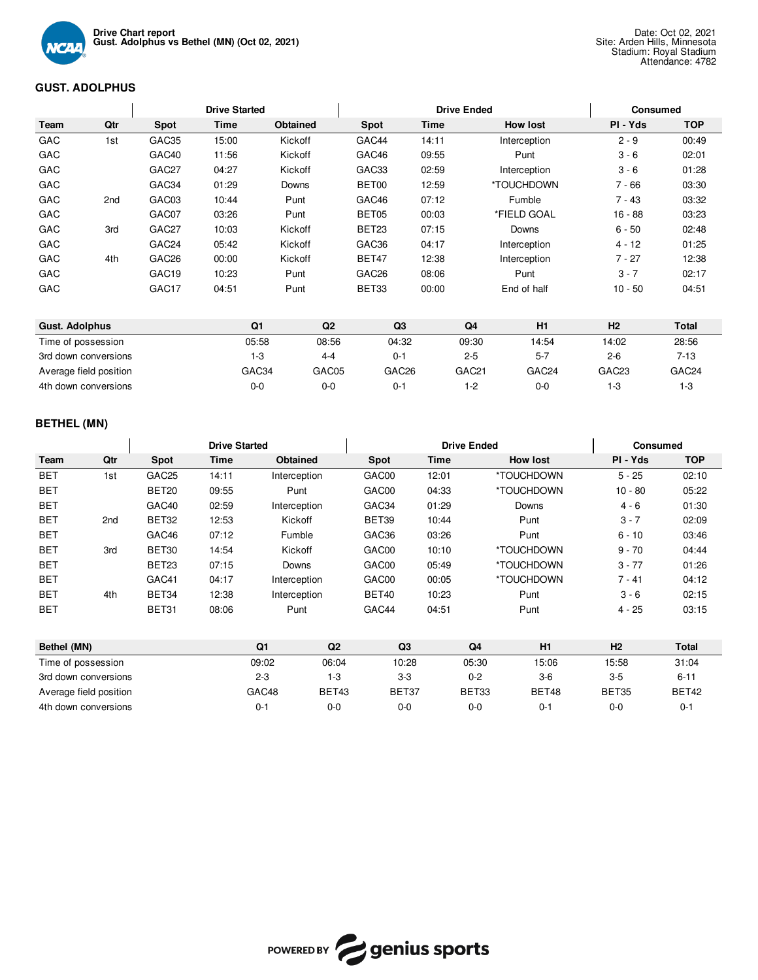

## **GUST. ADOLPHUS**

|                            |     |                   | <b>Drive Started</b> |          |                   |       | <b>Drive Ended</b>        | <b>Consumed</b>          |                                       |
|----------------------------|-----|-------------------|----------------------|----------|-------------------|-------|---------------------------|--------------------------|---------------------------------------|
| Team                       | Qtr | <b>Spot</b>       | Time                 | Obtained | Spot              | Time  | <b>How lost</b>           | PI - Yds                 | <b>TOP</b>                            |
| GAC                        | 1st | GAC35             | 15:00                | Kickoff  | GAC44             | 14:11 | Interception              | $2 - 9$                  | 00:49                                 |
| GAC                        |     | GAC40             | 11:56                | Kickoff  | GAC46             | 09:55 | Punt                      | $3 - 6$                  | 02:01                                 |
| GAC                        |     | GAC27             | 04:27                | Kickoff  | GAC33             | 02:59 | Interception              | $3 - 6$                  | 01:28                                 |
| GAC                        |     | GAC34             | 01:29                | Downs    | BET00             | 12:59 | *TOUCHDOWN                | $7 - 66$                 | 03:30                                 |
| GAC                        | 2nd | GAC03             | 10:44                | Punt     | GAC46             | 07:12 | Fumble                    | $7 - 43$                 | 03:32                                 |
| GAC                        |     | GAC07             | 03:26                | Punt     | BET05             | 00:03 | *FIELD GOAL               | $16 - 88$                | 03:23                                 |
| GAC                        | 3rd | GAC <sub>27</sub> | 10:03                | Kickoff  | BET23             | 07:15 | Downs                     | $6 - 50$                 | 02:48                                 |
| GAC                        |     | GAC <sub>24</sub> | 05:42                | Kickoff  | GAC36             | 04:17 | Interception              | 4 - 12                   | 01:25                                 |
| GAC                        | 4th | GAC <sub>26</sub> | 00:00                | Kickoff  | BET47             | 12:38 | Interception              | $7 - 27$                 | 12:38                                 |
| GAC                        |     | GAC <sub>19</sub> | 10:23                | Punt     | GAC <sub>26</sub> | 08:06 | Punt                      | $3 - 7$                  | 02:17                                 |
| GAC                        |     | GAC <sub>17</sub> | 04:51                | Punt     | BET33             | 00:00 | End of half               | $10 - 50$                | 04:51                                 |
| Accept Address to the con- |     |                   | $\sim$               | $\sim$   | $\sim$            |       | <b>ALC: YES</b><br>$\sim$ | $\overline{\phantom{a}}$ | <b>The Contract Contract Contract</b> |

| <b>Gust. Adolphus</b>  | Q1    | Q2      | Q <sub>3</sub>    | Q4                | H1                | H <sub>2</sub>    | Total             |
|------------------------|-------|---------|-------------------|-------------------|-------------------|-------------------|-------------------|
| Time of possession     | 05:58 | 08:56   | 04:32             | 09:30             | 14:54             | 14:02             | 28:56             |
| 3rd down conversions   | 1-3   | 4-4     | $0 - 1$           | $2 - 5$           | $5 - 7$           | $2 - 6$           | 7-13              |
| Average field position | GAC34 | GAC05   | GAC <sub>26</sub> | GAC <sub>21</sub> | GAC <sub>24</sub> | GAC <sub>23</sub> | GAC <sub>24</sub> |
| 4th down conversions   | 0-0   | $0 - 0$ | 0-1               | 1-2               | $0 - 0$           | -3                | $1-3$             |

## **BETHEL (MN)**

|                    |                 | <b>Drive Started</b> |       |                |                |                | <b>Drive Ended</b> |                | <b>Consumed</b> |           |              |  |
|--------------------|-----------------|----------------------|-------|----------------|----------------|----------------|--------------------|----------------|-----------------|-----------|--------------|--|
| Team               | Qtr             | Spot                 | Time  | Obtained       |                | Spot           | Time               |                | <b>How lost</b> | PI - Yds  | <b>TOP</b>   |  |
| <b>BET</b>         | 1st             | GAC <sub>25</sub>    | 14:11 | Interception   |                | GAC00          | 12:01              |                | *TOUCHDOWN      | $5 - 25$  | 02:10        |  |
| <b>BET</b>         |                 | BET20                | 09:55 | Punt           |                | GAC00          | 04:33              |                | *TOUCHDOWN      | $10 - 80$ | 05:22        |  |
| <b>BET</b>         |                 | GAC40                | 02:59 | Interception   |                | GAC34          | 01:29              |                | Downs           | $4 - 6$   | 01:30        |  |
| <b>BET</b>         | 2 <sub>nd</sub> | BET32                | 12:53 | Kickoff        |                | BET39          | 10:44              |                | Punt            | $3 - 7$   | 02:09        |  |
| <b>BET</b>         |                 | GAC46                | 07:12 | Fumble         |                | GAC36          | 03:26              |                | Punt            | $6 - 10$  | 03:46        |  |
| <b>BET</b>         | 3rd             | BET30                | 14:54 | Kickoff        |                | GAC00          | 10:10              |                | *TOUCHDOWN      | $9 - 70$  | 04:44        |  |
| <b>BET</b>         |                 | BET23                | 07:15 | Downs          |                | GAC00          | 05:49              |                | *TOUCHDOWN      | $3 - 77$  | 01:26        |  |
| <b>BET</b>         |                 | GAC41                | 04:17 | Interception   |                | GAC00          | 00:05              |                | *TOUCHDOWN      | $7 - 41$  | 04:12        |  |
| <b>BET</b>         | 4th             | BET34                | 12:38 | Interception   |                | BET40          | 10:23              |                | Punt            | $3 - 6$   | 02:15        |  |
| <b>BET</b>         |                 | BET31                | 08:06 | Punt           |                | GAC44          | 04:51              |                | Punt            | 4 - 25    | 03:15        |  |
| Bethel (MN)        |                 |                      |       | Q <sub>1</sub> | Q <sub>2</sub> | Q <sub>3</sub> |                    | Q <sub>4</sub> | H1              | H2        | <b>Total</b> |  |
| Time of possession |                 |                      |       | 09:02          | 06:04          | 10:28          |                    | 05:30          | 15:06           | 15:58     | 31:04        |  |



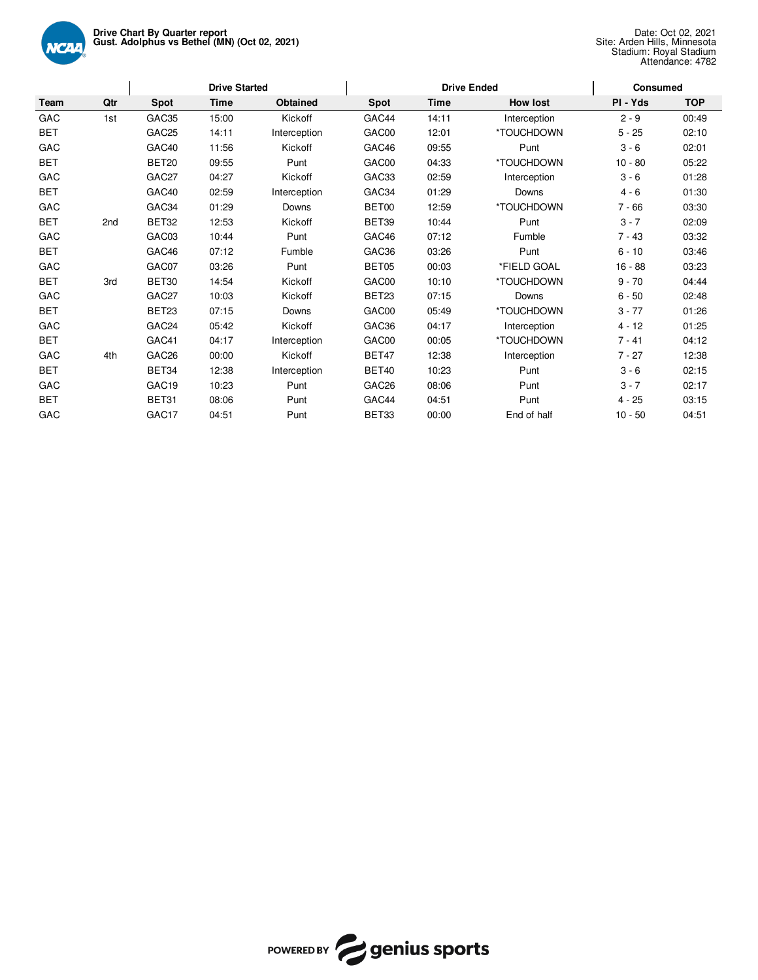

|            |     |                   | <b>Drive Started</b> |              |                   | <b>Drive Ended</b> |                 | <b>Consumed</b> |            |  |
|------------|-----|-------------------|----------------------|--------------|-------------------|--------------------|-----------------|-----------------|------------|--|
| Team       | Qtr | Spot              | <b>Time</b>          | Obtained     | Spot              | <b>Time</b>        | <b>How lost</b> | PI - Yds        | <b>TOP</b> |  |
| GAC        | 1st | GAC35             | 15:00                | Kickoff      | GAC44             | 14:11              | Interception    | $2 - 9$         | 00:49      |  |
| <b>BET</b> |     | GAC <sub>25</sub> | 14:11                | Interception | GAC00             | 12:01              | *TOUCHDOWN      | $5 - 25$        | 02:10      |  |
| GAC        |     | GAC40             | 11:56                | Kickoff      | GAC46             | 09:55              | Punt            | $3 - 6$         | 02:01      |  |
| <b>BET</b> |     | BET20             | 09:55                | Punt         | GAC00             | 04:33              | *TOUCHDOWN      | $10 - 80$       | 05:22      |  |
| GAC        |     | GAC27             | 04:27                | Kickoff      | GAC33             | 02:59              | Interception    | $3 - 6$         | 01:28      |  |
| <b>BET</b> |     | GAC40             | 02:59                | Interception | GAC34             | 01:29              | Downs           | $4 - 6$         | 01:30      |  |
| GAC        |     | GAC34             | 01:29                | Downs        | BET00             | 12:59              | *TOUCHDOWN      | $7 - 66$        | 03:30      |  |
| <b>BET</b> | 2nd | BET32             | 12:53                | Kickoff      | BET39             | 10:44              | Punt            | $3 - 7$         | 02:09      |  |
| GAC        |     | GAC03             | 10:44                | Punt         | GAC46             | 07:12              | Fumble          | $7 - 43$        | 03:32      |  |
| <b>BET</b> |     | GAC46             | 07:12                | Fumble       | GAC36             | 03:26              | Punt            | $6 - 10$        | 03:46      |  |
| GAC        |     | GAC07             | 03:26                | Punt         | BET05             | 00:03              | *FIELD GOAL     | $16 - 88$       | 03:23      |  |
| <b>BET</b> | 3rd | BET30             | 14:54                | Kickoff      | GAC00             | 10:10              | *TOUCHDOWN      | $9 - 70$        | 04:44      |  |
| GAC        |     | GAC27             | 10:03                | Kickoff      | BET23             | 07:15              | Downs           | $6 - 50$        | 02:48      |  |
| <b>BET</b> |     | BET23             | 07:15                | Downs        | GAC00             | 05:49              | *TOUCHDOWN      | $3 - 77$        | 01:26      |  |
| GAC        |     | GAC <sub>24</sub> | 05:42                | Kickoff      | GAC36             | 04:17              | Interception    | $4 - 12$        | 01:25      |  |
| <b>BET</b> |     | GAC41             | 04:17                | Interception | GAC00             | 00:05              | *TOUCHDOWN      | $7 - 41$        | 04:12      |  |
| GAC        | 4th | GAC <sub>26</sub> | 00:00                | Kickoff      | BET47             | 12:38              | Interception    | $7 - 27$        | 12:38      |  |
| <b>BET</b> |     | BET34             | 12:38                | Interception | BET40             | 10:23              | Punt            | $3 - 6$         | 02:15      |  |
| GAC        |     | GAC <sub>19</sub> | 10:23                | Punt         | GAC <sub>26</sub> | 08:06              | Punt            | $3 - 7$         | 02:17      |  |
| <b>BET</b> |     | BET31             | 08:06                | Punt         | GAC44             | 04:51              | Punt            | $4 - 25$        | 03:15      |  |
| GAC        |     | GAC17             | 04:51                | Punt         | BET33             | 00:00              | End of half     | $10 - 50$       | 04:51      |  |

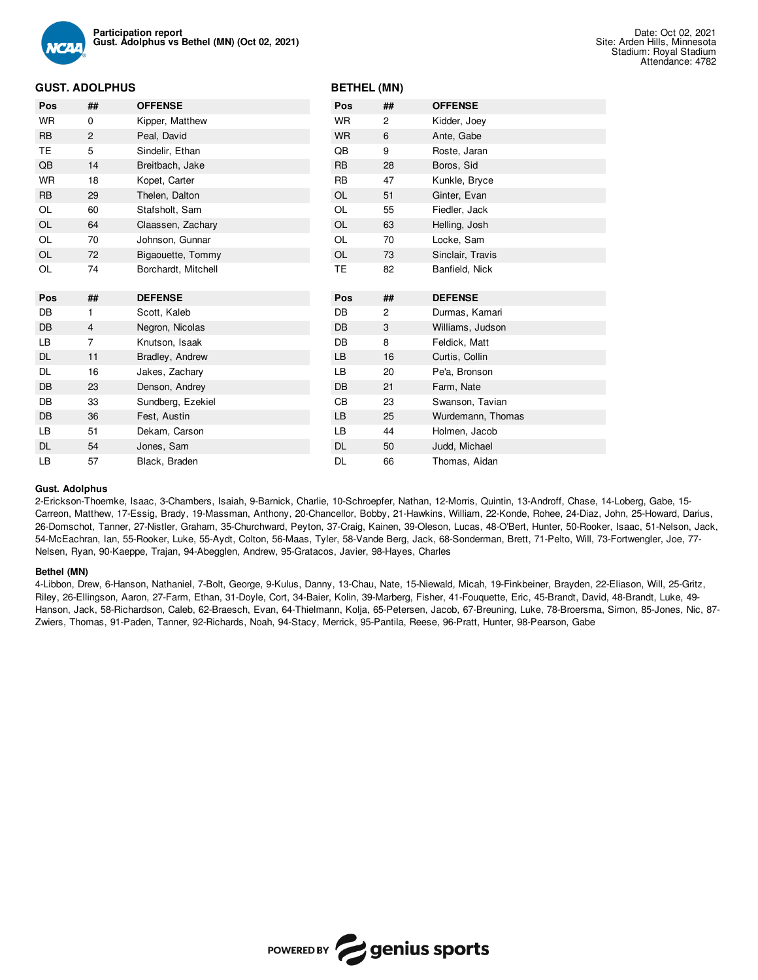

## **BETHEL (MN)**

| Pos       | ##             | <b>OFFENSE</b>      | Pos       | ##             | <b>OFFENSE</b>    |
|-----------|----------------|---------------------|-----------|----------------|-------------------|
| <b>WR</b> | 0              | Kipper, Matthew     | <b>WR</b> | 2              | Kidder, Joey      |
| <b>RB</b> | 2              | Peal, David         | <b>WR</b> | 6              | Ante, Gabe        |
| TE        | 5              | Sindelir, Ethan     | QB        | 9              | Roste, Jaran      |
| QB        | 14             | Breitbach, Jake     | <b>RB</b> | 28             | Boros, Sid        |
| <b>WR</b> | 18             | Kopet, Carter       | <b>RB</b> | 47             | Kunkle, Bryce     |
| <b>RB</b> | 29             | Thelen, Dalton      | OL        | 51             | Ginter, Evan      |
| OL        | 60             | Stafsholt, Sam      | OL        | 55             | Fiedler, Jack     |
| OL        | 64             | Claassen, Zachary   | <b>OL</b> | 63             | Helling, Josh     |
| OL        | 70             | Johnson, Gunnar     | OL        | 70             | Locke, Sam        |
| OL        | 72             | Bigaouette, Tommy   | OL        | 73             | Sinclair, Travis  |
| OL        | 74             | Borchardt, Mitchell | TE.       | 82             | Banfield, Nick    |
|           |                |                     |           |                |                   |
|           |                |                     |           |                |                   |
| Pos       | ##             | <b>DEFENSE</b>      | Pos       | ##             | <b>DEFENSE</b>    |
| DB        | 1              | Scott, Kaleb        | <b>DB</b> | $\overline{c}$ | Durmas, Kamari    |
| DB        | 4              | Negron, Nicolas     | <b>DB</b> | 3              | Williams, Judson  |
| LB        | $\overline{7}$ | Knutson, Isaak      | <b>DB</b> | 8              | Feldick, Matt     |
| DL        | 11             | Bradley, Andrew     | LB        | 16             | Curtis, Collin    |
| DL        | 16             | Jakes, Zachary      | LB        | 20             | Pe'a, Bronson     |
| DB        | 23             | Denson, Andrey      | <b>DB</b> | 21             | Farm, Nate        |
| DB        | 33             | Sundberg, Ezekiel   | CВ        | 23             | Swanson, Tavian   |
| DB        | 36             | Fest, Austin        | LB        | 25             | Wurdemann, Thomas |
| LВ        | 51             | Dekam, Carson       | LB        | 44             | Holmen, Jacob     |
| DL        | 54             | Jones, Sam          | <b>DL</b> | 50             | Judd, Michael     |

#### **Gust. Adolphus**

2-Erickson-Thoemke, Isaac, 3-Chambers, Isaiah, 9-Barnick, Charlie, 10-Schroepfer, Nathan, 12-Morris, Quintin, 13-Androff, Chase, 14-Loberg, Gabe, 15- Carreon, Matthew, 17-Essig, Brady, 19-Massman, Anthony, 20-Chancellor, Bobby, 21-Hawkins, William, 22-Konde, Rohee, 24-Diaz, John, 25-Howard, Darius, 26-Domschot, Tanner, 27-Nistler, Graham, 35-Churchward, Peyton, 37-Craig, Kainen, 39-Oleson, Lucas, 48-O'Bert, Hunter, 50-Rooker, Isaac, 51-Nelson, Jack, 54-McEachran, Ian, 55-Rooker, Luke, 55-Aydt, Colton, 56-Maas, Tyler, 58-Vande Berg, Jack, 68-Sonderman, Brett, 71-Pelto, Will, 73-Fortwengler, Joe, 77- Nelsen, Ryan, 90-Kaeppe, Trajan, 94-Abegglen, Andrew, 95-Gratacos, Javier, 98-Hayes, Charles

#### **Bethel (MN)**

4-Libbon, Drew, 6-Hanson, Nathaniel, 7-Bolt, George, 9-Kulus, Danny, 13-Chau, Nate, 15-Niewald, Micah, 19-Finkbeiner, Brayden, 22-Eliason, Will, 25-Gritz, Riley, 26-Ellingson, Aaron, 27-Farm, Ethan, 31-Doyle, Cort, 34-Baier, Kolin, 39-Marberg, Fisher, 41-Fouquette, Eric, 45-Brandt, David, 48-Brandt, Luke, 49- Hanson, Jack, 58-Richardson, Caleb, 62-Braesch, Evan, 64-Thielmann, Kolja, 65-Petersen, Jacob, 67-Breuning, Luke, 78-Broersma, Simon, 85-Jones, Nic, 87- Zwiers, Thomas, 91-Paden, Tanner, 92-Richards, Noah, 94-Stacy, Merrick, 95-Pantila, Reese, 96-Pratt, Hunter, 98-Pearson, Gabe

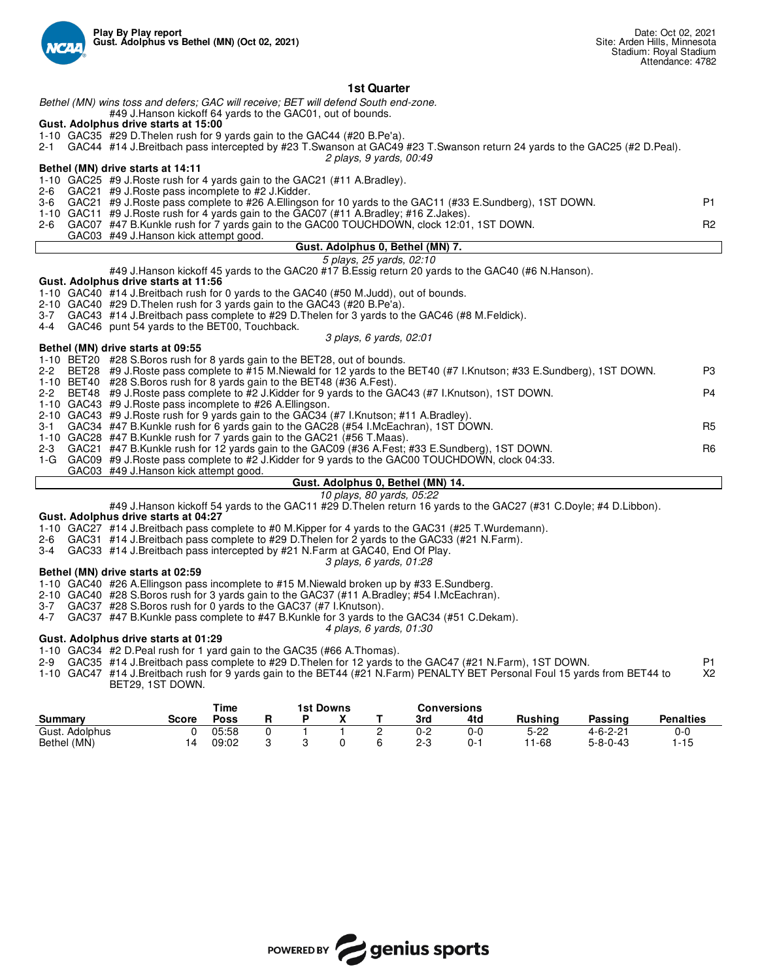

## **1st Quarter**

*Bethel (MN) wins toss and defers; GAC will receive; BET will defend South end-zone.*

#49 J.Hanson kickoff 64 yards to the GAC01, out of bounds.

## **Gust. Adolphus drive starts at 15:00**

- 1-10 GAC35 #29 D.Thelen rush for 9 yards gain to the GAC44 (#20 B.Pe'a).
- 2-1 GAC44 #14 J.Breitbach pass intercepted by #23 T.Swanson at GAC49 #23 T.Swanson return 24 yards to the GAC25 (#2 D.Peal). *2 plays, 9 yards, 00:49*

#### **Bethel (MN) drive starts at 14:11**

1-10 GAC25 #9 J.Roste rush for 4 yards gain to the GAC21 (#11 A.Bradley).

- 2-6 GAC21 #9 J.Roste pass incomplete to #2 J.Kidder.
- GAC21 #9 J.Roste pass complete to #26 A.Ellingson for 10 yards to the GAC11 (#33 E.Sundberg), 1ST DOWN. P1 1-10 GAC11 #9 J.Roste rush for 4 yards gain to the GAC07 (#11 A.Bradley; #16 Z.Jakes). 2-6 GAC07 #47 B.Kunkle rush for 7 yards gain to the GAC00 TOUCHDOWN, clock 12:01, 1ST DOWN.
- GAC03 #49 J.Hanson kick attempt good.

## **Gust. Adolphus 0, Bethel (MN) 7.**

*5 plays, 25 yards, 02:10*

#49 J.Hanson kickoff 45 yards to the GAC20 #17 B.Essig return 20 yards to the GAC40 (#6 N.Hanson).

### **Gust. Adolphus drive starts at 11:56**

- 1-10 GAC40 #14 J.Breitbach rush for 0 yards to the GAC40 (#50 M.Judd), out of bounds.
- 2-10 GAC40 #29 D.Thelen rush for 3 yards gain to the GAC43 (#20 B.Pe'a).
- 3-7 GAC43 #14 J.Breitbach pass complete to #29 D.Thelen for 3 yards to the GAC46 (#8 M.Feldick).<br>4-4 GAC46 punt 54 vards to the BET00. Touchback.
- GAC46 punt 54 yards to the BET00, Touchback.

#### *3 plays, 6 yards, 02:01*

#### **Bethel (MN) drive starts at 09:55**

|  | 1-10 BET20 #28 S. Boros rush for 8 yards gain to the BET28, out of bounds.                                              |     |
|--|-------------------------------------------------------------------------------------------------------------------------|-----|
|  | 2-2 BET28 #9 J.Roste pass complete to #15 M.Niewald for 12 yards to the BET40 (#7 I.Knutson; #33 E.Sundberg), 1ST DOWN. | P3  |
|  | 1-10 BET40 #28 S.Boros rush for 8 yards gain to the BET48 (#36 A.Fest).                                                 |     |
|  | 2-2 BET48 #9 J. Roste pass complete to #2 J. Kidder for 9 yards to the GAC43 (#7 I. Knutson), 1ST DOWN.                 | P4  |
|  | 1-10 GAC43 #9 J. Roste pass incomplete to #26 A. Ellingson.                                                             |     |
|  | 2-10 GAC43 #9 J. Roste rush for 9 yards gain to the GAC34 (#7 I. Knutson: #11 A. Bradley).                              |     |
|  | 3-1 GAC34 #47 B.Kunkle rush for 6 yards gain to the GAC28 (#54 I.McEachran), 1ST DOWN.                                  | R5. |
|  | 1-10 GAC28 #47 B.Kunkle rush for 7 yards gain to the GAC21 (#56 T.Maas).                                                |     |
|  | 2-3 GAC21 #47 B.Kunkle rush for 12 yards gain to the GAC09 (#36 A.Fest; #33 E.Sundberg), 1ST DOWN.                      | R6. |
|  | 1-G GAC09 #9 J. Roste pass complete to #2 J. Kidder for 9 yards to the GAC00 TOUCHDOWN, clock 04:33.                    |     |
|  | GAC03 #49 J.Hanson kick attempt good.                                                                                   |     |

## **Gust. Adolphus 0, Bethel (MN) 14.**

### *10 plays, 80 yards, 05:22*

#49 J.Hanson kickoff 54 yards to the GAC11 #29 D.Thelen return 16 yards to the GAC27 (#31 C.Doyle; #4 D.Libbon).

#### **Gust. Adolphus drive starts at 04:27**

1-10 GAC27 #14 J.Breitbach pass complete to #0 M.Kipper for 4 yards to the GAC31 (#25 T.Wurdemann).

- 2-6 GAC31 #14 J.Breitbach pass complete to #29 D.Thelen for 2 yards to the GAC33 (#21 N.Farm).
- 3-4 GAC33 #14 J.Breitbach pass intercepted by #21 N.Farm at GAC40, End Of Play.
	- *3 plays, 6 yards, 01:28*

#### **Bethel (MN) drive starts at 02:59**

1-10 GAC40 #26 A.Ellingson pass incomplete to #15 M.Niewald broken up by #33 E.Sundberg.

- 2-10 GAC40 #28 S.Boros rush for 3 yards gain to the GAC37 (#11 A.Bradley; #54 I.McEachran).
- 3-7 GAC37 #28 S.Boros rush for 0 yards to the GAC37 (#7 I.Knutson).<br>4-7 GAC37 #47 B Kunkle pass complete to #47 B Kunkle for 3 vards to
- GAC37 #47 B.Kunkle pass complete to #47 B.Kunkle for 3 yards to the GAC34 (#51 C.Dekam).
	- *4 plays, 6 yards, 01:30*

## **Gust. Adolphus drive starts at 01:29**

1-10 GAC34 #2 D.Peal rush for 1 yard gain to the GAC35 (#66 A.Thomas).

2-9 GAC35 #14 J.Breitbach pass complete to #29 D.Thelen for 12 yards to the GAC47 (#21 N.Farm), 1ST DOWN. P1

1-10 GAC47 #14 J.Breitbach rush for 9 yards gain to the BET44 (#21 N.Farm) PENALTY BET Personal Foul 15 yards from BET44 to BET29, 1ST DOWN. X2

| Time           |              |       |  | 1st Downs |   | Conversions |     |         |                  |                  |
|----------------|--------------|-------|--|-----------|---|-------------|-----|---------|------------------|------------------|
| <b>Summary</b> | <b>Score</b> | Poss  |  |           |   | 3rd         | 4td | Rushina | Passing          | <b>Penalties</b> |
| Gust. Adolphus |              | 05:58 |  |           | - | 0-2         | 0-0 | 5-22    | $4 - 6 - 2 - 21$ | 0-C              |
| Bethel (MN)    |              | 09:02 |  |           |   | $2 - 3$     | 0-1 | 11-68   | $5 - 8 - 0 - 43$ | -15              |

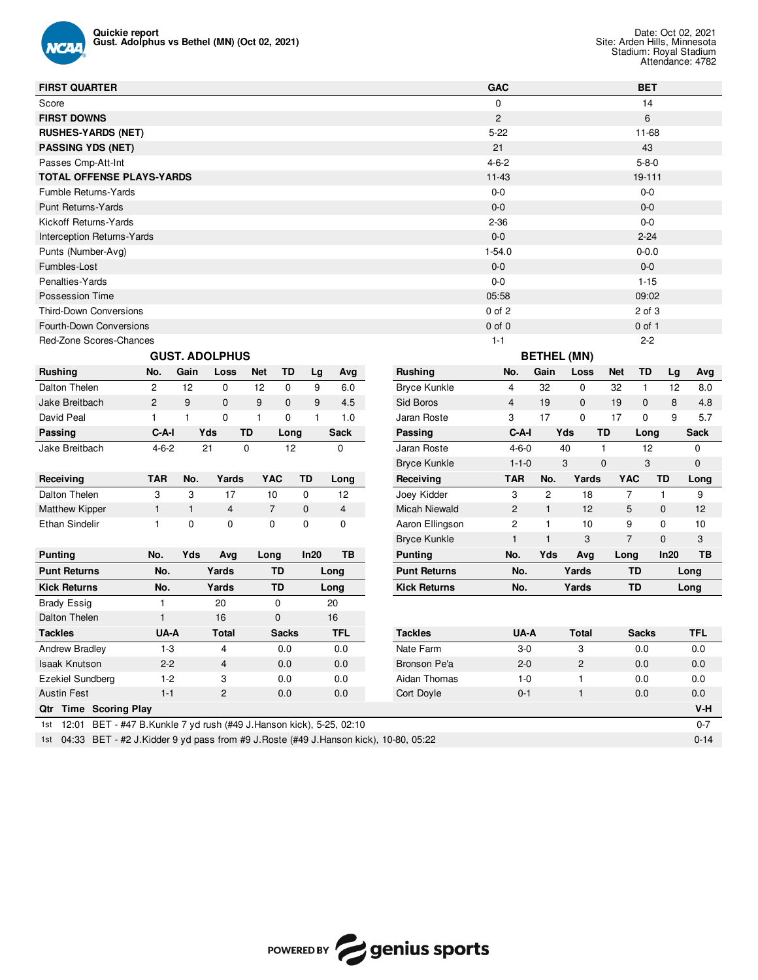

| <b>FIRST QUARTER</b>                                                    |                |              |                       |                |              |    |            |                      | <b>GAC</b>     |                |                |                    |             | <b>BET</b>     |              |            |
|-------------------------------------------------------------------------|----------------|--------------|-----------------------|----------------|--------------|----|------------|----------------------|----------------|----------------|----------------|--------------------|-------------|----------------|--------------|------------|
| Score                                                                   |                |              |                       |                |              |    |            |                      | 0              |                |                |                    |             | 14             |              |            |
| <b>FIRST DOWNS</b>                                                      |                |              |                       |                |              |    |            |                      | $\overline{c}$ |                |                |                    |             | 6              |              |            |
| <b>RUSHES-YARDS (NET)</b>                                               |                |              |                       |                |              |    |            |                      | $5 - 22$       |                |                |                    |             | 11-68          |              |            |
| <b>PASSING YDS (NET)</b>                                                |                |              |                       |                |              |    |            |                      | 21             |                |                |                    |             | 43             |              |            |
| Passes Cmp-Att-Int                                                      |                |              |                       |                |              |    |            |                      | $4 - 6 - 2$    |                |                |                    |             | $5 - 8 - 0$    |              |            |
| <b>TOTAL OFFENSE PLAYS-YARDS</b>                                        |                |              |                       |                |              |    |            |                      | $11 - 43$      |                |                |                    |             | 19-111         |              |            |
| Fumble Returns-Yards                                                    |                |              |                       |                |              |    |            |                      | $0-0$          |                |                |                    |             | $0-0$          |              |            |
| <b>Punt Returns-Yards</b>                                               |                |              |                       |                |              |    |            |                      | $0 - 0$        |                |                |                    |             | $0-0$          |              |            |
| Kickoff Returns-Yards                                                   |                |              |                       |                |              |    |            |                      | $2 - 36$       |                |                |                    |             | $0-0$          |              |            |
| <b>Interception Returns-Yards</b>                                       |                |              |                       |                |              |    |            |                      | $0 - 0$        |                |                |                    |             | $2 - 24$       |              |            |
| Punts (Number-Avg)                                                      |                |              |                       |                |              |    |            |                      | $1 - 54.0$     |                |                |                    |             | $0 - 0.0$      |              |            |
| Fumbles-Lost                                                            |                |              |                       |                |              |    |            |                      | $0 - 0$        |                |                |                    |             | $0-0$          |              |            |
| Penalties-Yards                                                         |                |              |                       |                |              |    |            |                      | $0-0$          |                |                |                    |             | $1 - 15$       |              |            |
| <b>Possession Time</b>                                                  |                |              |                       |                |              |    |            |                      | 05:58          |                |                |                    |             | 09:02          |              |            |
| <b>Third-Down Conversions</b>                                           |                |              |                       |                |              |    |            |                      | 0 of 2         |                |                |                    |             | 2 of 3         |              |            |
| Fourth-Down Conversions                                                 |                |              |                       |                |              |    |            |                      | $0$ of $0$     |                |                |                    |             | $0$ of $1$     |              |            |
| Red-Zone Scores-Chances                                                 |                |              |                       |                |              |    |            |                      | $1 - 1$        |                |                |                    |             | $2 - 2$        |              |            |
|                                                                         |                |              | <b>GUST. ADOLPHUS</b> |                |              |    |            |                      |                |                |                | <b>BETHEL (MN)</b> |             |                |              |            |
| <b>Rushing</b>                                                          | No.            | Gain         | Loss                  | <b>Net</b>     | TD           | Lg | Avg        | <b>Rushing</b>       |                | No.            | Gain           | Loss               | <b>Net</b>  | TD             | Lg           | Avg        |
| Dalton Thelen                                                           | 2              | 12           | 0                     | 12             | 0            | 9  | 6.0        | <b>Bryce Kunkle</b>  |                | 4              | 32             | $\mathbf 0$        | 32          | $\mathbf{1}$   | 12           | 8.0        |
| Jake Breitbach                                                          | $\overline{c}$ | 9            | $\mathbf 0$           | 9              | $\mathbf 0$  | 9  | 4.5        | Sid Boros            |                | 4              | 19             | $\mathbf 0$        | 19          | $\mathbf 0$    | 8            | 4.8        |
| David Peal                                                              | 1              | $\mathbf{1}$ | 0                     | $\mathbf{1}$   | $\mathbf 0$  | 1  | 1.0        | Jaran Roste          |                | 3              | 17             | $\mathbf 0$        | 17          | 0              | 9            | 5.7        |
| Passing                                                                 | C-A-I          |              | Yds<br>TD             |                | Long         |    | Sack       | Passing              |                | C-A-I          |                | Yds                | TD          | Long           |              | Sack       |
| Jake Breitbach                                                          | $4 - 6 - 2$    |              | 21<br>0               |                | 12           |    | 0          | Jaran Roste          |                | $4 - 6 - 0$    |                | 40                 | 1           | 12             |              | 0          |
|                                                                         |                |              |                       |                |              |    |            | <b>Bryce Kunkle</b>  |                | $1 - 1 - 0$    |                | 3                  | $\mathbf 0$ | 3              |              | 0          |
| Receiving                                                               | <b>TAR</b>     | No.          | Yards                 | <b>YAC</b>     | TD           |    | Long       | Receiving            |                | <b>TAR</b>     | No.            | Yards              |             | <b>YAC</b>     | <b>TD</b>    | Long       |
| Dalton Thelen                                                           | 3              | 3            | 17                    | 10             | 0            |    | 12         | Joey Kidder          |                | 3              | $\overline{c}$ | 18                 |             | $\overline{7}$ | $\mathbf{1}$ | 9          |
| <b>Matthew Kipper</b>                                                   | $\mathbf{1}$   | $\mathbf{1}$ | 4                     | $\overline{7}$ | 0            |    | 4          | <b>Micah Niewald</b> |                | $\overline{c}$ | $\mathbf{1}$   | 12                 |             | 5              | 0            | 12         |
| <b>Ethan Sindelir</b>                                                   | 1              | 0            | 0                     | 0              | 0            |    | 0          | Aaron Ellingson      |                | 2              | 1              | 10                 |             | 9              | 0            | 10         |
|                                                                         |                |              |                       |                |              |    |            | <b>Bryce Kunkle</b>  |                | $\mathbf{1}$   | $\mathbf{1}$   | 3                  |             | $\overline{7}$ | 0            | 3          |
| <b>Punting</b>                                                          | No.            | Yds          | Avg                   | Long           | In20         |    | TВ         | <b>Punting</b>       |                | No.            | Yds            | Avg                |             | Long           | In20         | TB         |
| <b>Punt Returns</b>                                                     | No.            |              | Yards                 | TD             |              |    | Long       | <b>Punt Returns</b>  |                | No.            |                | Yards              |             | TD             |              | Long       |
| <b>Kick Returns</b>                                                     | No.            |              | Yards                 | TD             |              |    | Long       | <b>Kick Returns</b>  |                | No.            |                | Yards              |             | TD             |              | Long       |
| <b>Brady Essig</b>                                                      | $\mathbf{1}$   |              | 20                    | 0              |              |    | 20         |                      |                |                |                |                    |             |                |              |            |
| Dalton Thelen                                                           | $\mathbf{1}$   |              | 16                    | 0              |              |    | 16         |                      |                |                |                |                    |             |                |              |            |
| <b>Tackles</b>                                                          | UA-A           |              | <b>Total</b>          |                | <b>Sacks</b> |    | <b>TFL</b> | <b>Tackles</b>       |                | UA-A           |                | <b>Total</b>       |             | <b>Sacks</b>   |              | <b>TFL</b> |
| Andrew Bradley                                                          | 1-3            |              | 4                     |                | 0.0          |    | $0.0\,$    | Nate Farm            |                | 3-0            |                | 3                  |             | 0.0            |              | 0.0        |
| <b>Isaak Knutson</b>                                                    | $2 - 2$        |              | $\overline{4}$        |                | 0.0          |    | 0.0        | Bronson Pe'a         |                | $2 - 0$        |                | $\overline{2}$     |             | 0.0            |              | 0.0        |
| Ezekiel Sundberg                                                        | $1 - 2$        |              | 3                     |                | 0.0          |    | 0.0        | Aidan Thomas         |                | $1 - 0$        |                | $\mathbf{1}$       |             | 0.0            |              | 0.0        |
| <b>Austin Fest</b>                                                      | $1 - 1$        |              | $\mathbf{2}$          |                | 0.0          |    | 0.0        | Cort Doyle           |                | $0 - 1$        |                | $\mathbf{1}$       |             | 0.0            |              | 0.0        |
| Qtr Time Scoring Play                                                   |                |              |                       |                |              |    |            |                      |                |                |                |                    |             |                |              | V-H        |
| 1st 12:01 BET - #47 B.Kunkle 7 yd rush (#49 J.Hanson kick), 5-25, 02:10 |                |              |                       |                |              |    |            |                      |                |                |                |                    |             |                |              | $0 - 7$    |

1st 04:33 BET - #2 J.Kidder 9 yd pass from #9 J.Roste (#49 J.Hanson kick), 10-80, 05:22

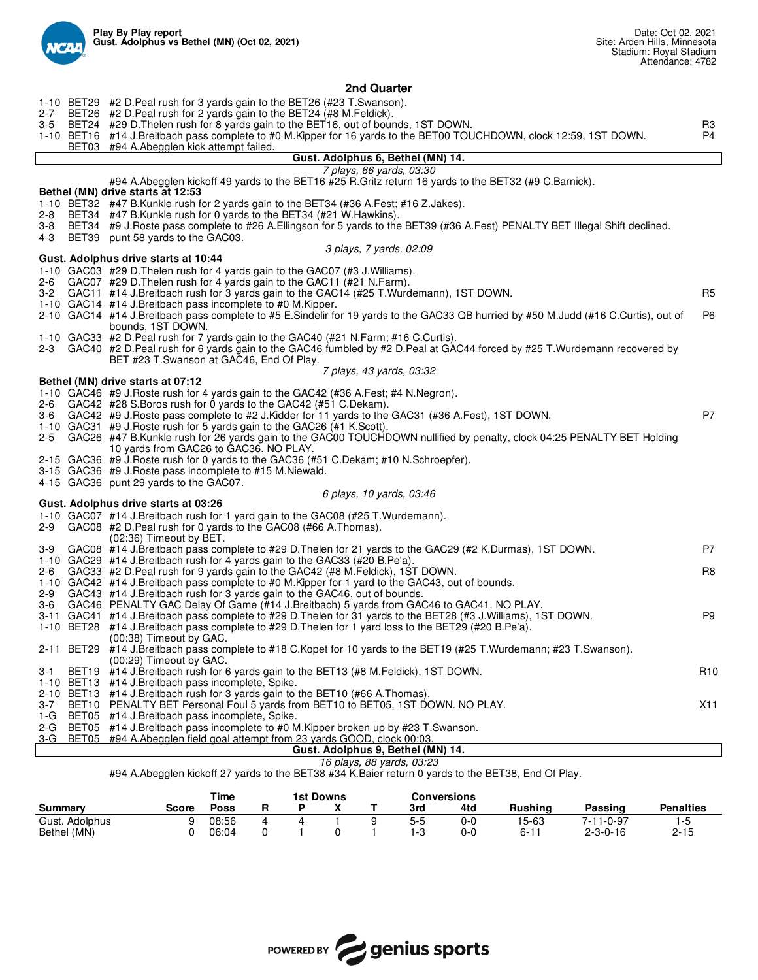

#### **2nd Quarter** 1-10 BET29 #2 D.Peal rush for 3 yards gain to the BET26 (#23 T.Swanson)<br>2-7 BET26 #2 D.Peal rush for 2 yards gain to the BET24 (#8 M.Feldick). 2-7 BET26 #2 D.Peal rush for 2 yards gain to the BET24 (#8 M.Feldick).<br>3-5 BET24 #29 D.Thelen rush for 8 yards gain to the BET16, out of bour \$29 D.Thelen rush for 8 yards gain to the BET16, out of bounds, 1ST DOWN.<br>\$14 J.Breitbach pass complete to #0 M.Kipper for 16 yards to the BET00 TOUCHDOWN, clock 12:59, 1ST DOWN. \$2 P4 1-10 BET16 #14 J.Breitbach pass complete to #0 M.Kipper for 16 yards to the BET00 TOUCHDOWN, clock 12:59, 1ST DOWN.<br>BET03 #94 A.Abegglen kick attempt failed. #94 A.Abegglen kick attempt failed. **Gust. Adolphus 6, Bethel (MN) 14.** *7 plays, 66 yards, 03:30* #94 A.Abegglen kickoff 49 yards to the BET16 #25 R.Gritz return 16 yards to the BET32 (#9 C.Barnick). **Bethel (MN) drive starts at 12:53** 1-10 BET32 #47 B.Kunkle rush for 2 yards gain to the BET34 (#36 A.Fest; #16 Z.Jakes). #47 B.Kunkle rush for 0 yards to the BET34 (#21 W.Hawkins). 3-8 BET34 #9 J.Roste pass complete to #26 A.Ellingson for 5 yards to the BET39 (#36 A.Fest) PENALTY BET Illegal Shift declined. 4-3 BET39 punt 58 yards to the GAC03. *3 plays, 7 yards, 02:09* **Gust. Adolphus drive starts at 10:44** 1-10 GAC03 #29 D.Thelen rush for 4 yards gain to the GAC07 (#3 J.Williams). 2-6 GAC07 #29 D.Thelen rush for 4 yards gain to the GAC11 (#21 N.Farm). 3-2 GAC11 #14 J.Breitbach rush for 3 yards gain to the GAC14 (#25 T.Wurdemann), 1ST DOWN. R5 1-10 GAC14 #14 J.Breitbach pass incomplete to #0 M.Kipper. 2-10 GAC14 #14 J.Breitbach pass complete to #5 E.Sindelir for 19 yards to the GAC33 QB hurried by #50 M.Judd (#16 C.Curtis), out of bounds, 1ST DOWN. P6 1-10 GAC33 #2 D.Peal rush for 7 yards gain to the GAC40 (#21 N.Farm; #16 C.Curtis). 2-3 GAC40 #2 D.Peal rush for 6 yards gain to the GAC46 fumbled by #2 D.Peal at GAC44 forced by #25 T.Wurdemann recovered by BET #23 T.Swanson at GAC46, End Of Play. *7 plays, 43 yards, 03:32* **Bethel (MN) drive starts at 07:12** 1-10 GAC46 #9 J.Roste rush for 4 yards gain to the GAC42 (#36 A.Fest; #4 N.Negron). 2-6 GAC42 #28 S.Boros rush for 0 yards to the GAC42 (#51 C.Dekam)<br>3-6 GAC42 #9 J.Roste pass complete to #2 J.Kidder for 11 vards to the GAC42 #9 J.Roste pass complete to #2 J.Kidder for 11 yards to the GAC31 (#36 A.Fest), 1ST DOWN. 1-10 GAC31 #9 J.Roste rush for 5 yards gain to the GAC26 (#1 K.Scott). 2-5 GAC26 #47 B.Kunkle rush for 26 yards gain to the GAC00 TOUCHDOWN nullified by penalty, clock 04:25 PENALTY BET Holding 10 yards from GAC26 to GAC36. NO PLAY. 2-15 GAC36 #9 J.Roste rush for 0 yards to the GAC36 (#51 C.Dekam; #10 N.Schroepfer). 3-15 GAC36 #9 J.Roste pass incomplete to #15 M.Niewald. 4-15 GAC36 punt 29 yards to the GAC07. *6 plays, 10 yards, 03:46* **Gust. Adolphus drive starts at 03:26** 1-10 GAC07 #14 J.Breitbach rush for 1 yard gain to the GAC08 (#25 T.Wurdemann). 2-9 GAC08 #2 D.Peal rush for 0 yards to the GAC08 (#66 A.Thomas). (02:36) Timeout by BET. 3-9 GAC08 #14 J.Breitbach pass complete to #29 D.Thelen for 21 yards to the GAC29 (#2 K.Durmas), 1ST DOWN. 1-10 GAC29 #14 J.Breitbach rush for 4 yards gain to the GAC33 (#20 B.Pe'a). GAC33 #2 D.Peal rush for 9 yards gain to the GAC42 (#8 M.Feldick), 1ST DOWN. CHACAST MASS R8 1-10 GAC42 #14 J.Breitbach pass complete to #0 M.Kipper for 1 yard to the GAC43, out of bounds. 2-9 GAC43 #14 J.Breitbach rush for 3 yards gain to the GAC46, out of bounds.<br>3-6 GAC46 PENALTY GAC Delay Of Game (#14 J.Breitbach) 5 yards from GA GAC46 PENALTY GAC Delay Of Game (#14 J.Breitbach) 5 yards from GAC46 to GAC41. NO PLAY. 3-11 GAC41 #14 J.Breitbach pass complete to #29 D.Thelen for 31 yards to the BET28 (#3 J.Williams), 1ST DOWN.<br>1-10 BET28 #14 J.Breitbach pass complete to #29 D.Thelen for 1 yard loss to the BET29 (#20 B.Pe'a). #14 J.Breitbach pass complete to #29 D.Thelen for 1 yard loss to the BET29 (#20 B.Pe'a). (00:38) Timeout by GAC. 2-11 BET29 #14 J.Breitbach pass complete to #18 C.Kopet for 10 yards to the BET19 (#25 T.Wurdemann; #23 T.Swanson). (00:29) Timeout by GAC. 3-1 BET19 #14 J.Breitbach rush for 6 yards gain to the BET13 (#8 M.Feldick), 1ST DOWN.<br>1-10 BET13 #14 J.Breitbach pass incomplete. Spike. #14 J.Breitbach pass incomplete, Spike. 2-10 BET13 #14 J.Breitbach rush for 3 yards gain to the BET10 (#66 A.Thomas)<br>3-7 BET10 PENALTY BET Personal Foul 5 yards from BET10 to BET05, 1ST D BET10 PENALTY BET Personal Foul 5 yards from BET10 to BET05, 1ST DOWN. NO PLAY.<br>BET05 #14 J.Breitbach pass incomplete. Spike. 1-G BET05 #14 J.Breitbach pass incomplete, Spike. #14 J.Breitbach pass incomplete to #0 M.Kipper broken up by #23 T.Swanson. 3-G BET05 #94 A.Abegglen field goal attempt from 23 yards GOOD, clock 00:03. **Gust. Adolphus 9, Bethel (MN) 14.** *16 plays, 88 yards, 03:23*

## #94 A.Abegglen kickoff 27 yards to the BET38 #34 K.Baier return 0 yards to the BET38, End Of Play.

|                | Time<br>1st Downs |             |  |  |  |  |     | Conversions |                |                  |                  |
|----------------|-------------------|-------------|--|--|--|--|-----|-------------|----------------|------------------|------------------|
| Summary        | <b>Score</b>      | <b>Poss</b> |  |  |  |  | 3rd | 4td         | <b>Rushina</b> | Passing          | <b>Penalties</b> |
| Gust. Adolphus |                   | 08:56       |  |  |  |  | 5-5 | 0-0         | 15-63          | 7-11-0-97        | 1-5              |
| Bethel (MN)    |                   | 06:04       |  |  |  |  |     | 0-0         | $6 - 11$       | $2 - 3 - 0 - 16$ | $2 - 15$         |

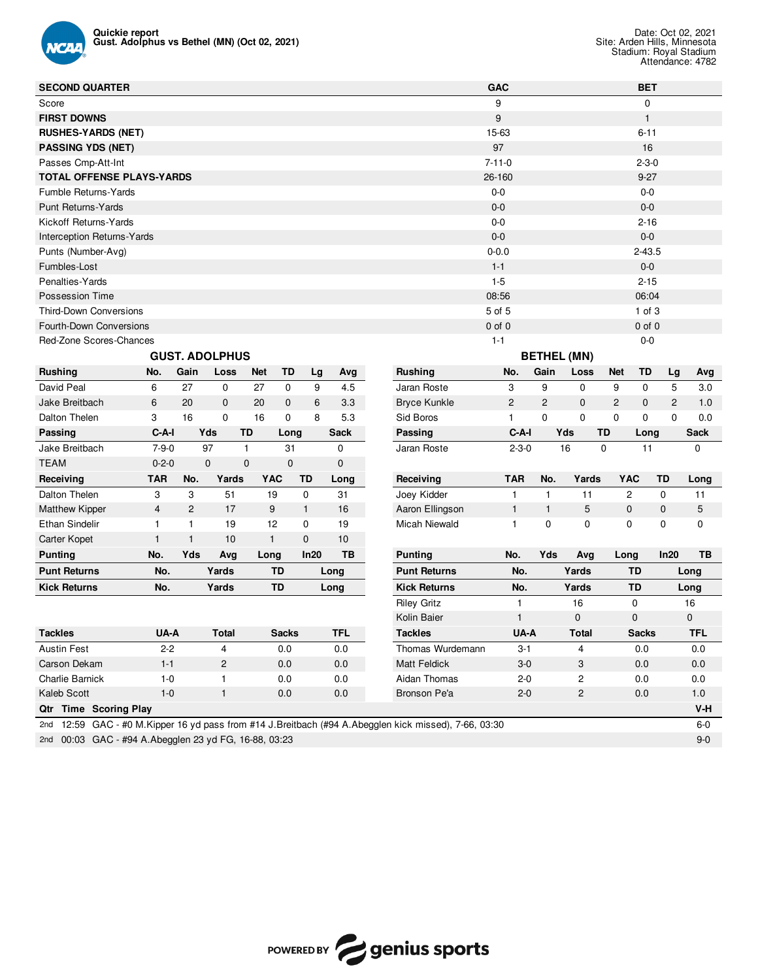

| <b>SECOND QUARTER</b>                                                                                    |                |                |                              |              |              |    |             |                     | <b>GAC</b>     |         |                |                    |                | <b>BET</b>   |             |             |
|----------------------------------------------------------------------------------------------------------|----------------|----------------|------------------------------|--------------|--------------|----|-------------|---------------------|----------------|---------|----------------|--------------------|----------------|--------------|-------------|-------------|
| Score                                                                                                    |                |                |                              |              |              |    |             |                     | 9              |         |                |                    |                | 0            |             |             |
| <b>FIRST DOWNS</b>                                                                                       |                |                |                              |              |              |    |             |                     | 9              |         |                |                    |                | $\mathbf{1}$ |             |             |
| <b>RUSHES-YARDS (NET)</b>                                                                                |                |                |                              |              |              |    |             |                     | 15-63          |         |                |                    |                | $6 - 11$     |             |             |
| <b>PASSING YDS (NET)</b>                                                                                 |                |                |                              |              |              |    |             |                     | 97             |         |                |                    |                | 16           |             |             |
| Passes Cmp-Att-Int                                                                                       |                |                |                              |              |              |    |             |                     | $7 - 11 - 0$   |         |                |                    |                | $2 - 3 - 0$  |             |             |
| <b>TOTAL OFFENSE PLAYS-YARDS</b>                                                                         |                |                |                              |              |              |    |             |                     | 26-160         |         |                |                    |                | $9 - 27$     |             |             |
| Fumble Returns-Yards                                                                                     |                |                |                              |              |              |    |             |                     | $0-0$          |         |                |                    |                | $0-0$        |             |             |
| <b>Punt Returns-Yards</b>                                                                                |                |                |                              |              |              |    |             |                     | $0 - 0$        |         |                |                    |                | $0-0$        |             |             |
| Kickoff Returns-Yards                                                                                    |                |                |                              |              |              |    |             |                     | $0-0$          |         |                |                    |                | $2 - 16$     |             |             |
| Interception Returns-Yards                                                                               |                |                |                              |              |              |    |             |                     | $0 - 0$        |         |                |                    |                | $0-0$        |             |             |
| Punts (Number-Avg)                                                                                       |                |                |                              |              |              |    |             |                     | $0 - 0.0$      |         |                |                    |                | $2 - 43.5$   |             |             |
| Fumbles-Lost                                                                                             |                |                |                              |              |              |    |             |                     | $1 - 1$        |         |                |                    |                | $0-0$        |             |             |
| Penalties-Yards                                                                                          |                |                |                              |              |              |    |             |                     | $1-5$          |         |                |                    |                | $2 - 15$     |             |             |
| Possession Time                                                                                          |                |                |                              |              |              |    |             |                     | 08:56          |         |                |                    |                | 06:04        |             |             |
| <b>Third-Down Conversions</b>                                                                            |                |                |                              |              |              |    |             |                     | 5 of 5         |         |                |                    |                | $1$ of $3$   |             |             |
| Fourth-Down Conversions                                                                                  |                |                |                              |              |              |    |             |                     | $0$ of $0$     |         |                |                    |                | $0$ of $0$   |             |             |
| Red-Zone Scores-Chances                                                                                  |                |                |                              |              |              |    |             |                     | $1 - 1$        |         |                |                    |                | $0-0$        |             |             |
|                                                                                                          |                |                | <b>GUST. ADOLPHUS</b>        |              |              |    |             |                     |                |         |                | <b>BETHEL (MN)</b> |                |              |             |             |
| <b>Rushing</b>                                                                                           | No.            | Gain           | Loss                         | <b>Net</b>   | TD           | Lg | Avg         | <b>Rushing</b>      | No.            |         | Gain           | Loss               | <b>Net</b>     | TD           | Lg          | Avg         |
| David Peal                                                                                               | 6              | 27             | 0                            | 27           | $\mathbf 0$  | 9  | 4.5         | Jaran Roste         | 3              |         | 9              | 0                  | 9              | $\mathbf 0$  | 5           | 3.0         |
| Jake Breitbach                                                                                           | 6              | 20             | $\mathbf 0$                  | 20           | 0            | 6  | 3.3         | <b>Bryce Kunkle</b> | $\overline{c}$ |         | $\overline{c}$ | $\mathbf 0$        | $\overline{2}$ | 0            | 2           | 1.0         |
| Dalton Thelen                                                                                            | 3              | 16             | $\mathbf 0$                  | 16           | $\mathbf 0$  | 8  | 5.3         | Sid Boros           | 1              |         | 0              | $\mathbf 0$        | $\mathbf 0$    | 0            | $\mathbf 0$ | 0.0         |
| Passing                                                                                                  | $C-A-I$        |                | Yds<br>TD                    |              | Long         |    | <b>Sack</b> | Passing             | C-A-I          |         | Yds            |                    | <b>TD</b>      | Long         |             | <b>Sack</b> |
| Jake Breitbach                                                                                           | $7 - 9 - 0$    |                | 97<br>1                      |              | 31           |    | 0           | Jaran Roste         | $2 - 3 - 0$    |         | 16             |                    | 0              | 11           |             | 0           |
| <b>TEAM</b>                                                                                              | $0 - 2 - 0$    |                | $\mathbf{0}$<br>$\mathbf{0}$ |              | $\mathbf{0}$ |    | 0           |                     |                |         |                |                    |                |              |             |             |
| Receiving                                                                                                | <b>TAR</b>     | No.            | Yards                        | <b>YAC</b>   | TD           |    | Long        | Receiving           | <b>TAR</b>     |         | No.            | Yards              |                | YAC          | TD          | Long        |
| Dalton Thelen                                                                                            | 3              | 3              | 51                           | 19           | 0            |    | 31          | Joey Kidder         | $\mathbf{1}$   |         | $\mathbf{1}$   | 11                 |                | 2            | 0           | 11          |
| <b>Matthew Kipper</b>                                                                                    | $\overline{4}$ | $\overline{c}$ | 17                           | 9            | $\mathbf{1}$ |    | 16          | Aaron Ellingson     | $\mathbf{1}$   |         | 1              | 5                  |                | $\mathbf 0$  | $\mathbf 0$ | 5           |
| Ethan Sindelir                                                                                           | 1              | 1              | 19                           | 12           | 0            |    | 19          | Micah Niewald       | 1              |         | 0              | 0                  |                | 0            | 0           | 0           |
| Carter Kopet                                                                                             | 1              | 1              | 10                           | $\mathbf{1}$ | 0            |    | 10          |                     |                |         |                |                    |                |              |             |             |
| <b>Punting</b>                                                                                           | No.            | Yds            | Avg                          | Long         | In20         |    | TВ          | <b>Punting</b>      | No.            |         | Yds            | Avg                | Long           |              | In20        | TB          |
| <b>Punt Returns</b>                                                                                      | No.            |                | Yards                        | TD           |              |    | Long        | <b>Punt Returns</b> | No.            |         |                | Yards              |                | TD           |             | Long        |
| <b>Kick Returns</b>                                                                                      | No.            |                | Yards                        | <b>TD</b>    |              |    | Long        | <b>Kick Returns</b> | No.            |         |                | Yards              |                | <b>TD</b>    |             | Long        |
|                                                                                                          |                |                |                              |              |              |    |             | <b>Riley Gritz</b>  | 1              |         |                | 16                 |                | 0            |             | 16          |
|                                                                                                          |                |                |                              |              |              |    |             | Kolin Baier         | $\mathbf{1}$   |         |                | 0                  |                | $\mathbf 0$  |             | 0           |
| <b>Tackles</b>                                                                                           | UA-A           |                | Total                        |              | Sacks        |    | TFL         | <b>Tackles</b>      |                | UA-A    |                | Total              |                | Sacks        |             | TFL         |
| <b>Austin Fest</b>                                                                                       | $2 - 2$        |                | 4                            |              | 0.0          |    | 0.0         | Thomas Wurdemann    |                | 3-1     |                | 4                  |                | 0.0          |             | 0.0         |
| Carson Dekam                                                                                             | $1 - 1$        |                | 2                            |              | 0.0          |    | 0.0         | <b>Matt Feldick</b> |                | $3-0$   |                | 3                  |                | 0.0          |             | 0.0         |
| Charlie Barnick                                                                                          | $1 - 0$        |                | 1                            |              | 0.0          |    | 0.0         | Aidan Thomas        |                | $2 - 0$ |                | 2                  |                | 0.0          |             | 0.0         |
| Kaleb Scott                                                                                              | $1 - 0$        |                | $\mathbf{1}$                 |              | 0.0          |    | 0.0         | Bronson Pe'a        |                | $2 - 0$ |                | 2                  |                | 0.0          |             | 1.0         |
| Qtr Time Scoring Play                                                                                    |                |                |                              |              |              |    |             |                     |                |         |                |                    |                |              |             | V-H         |
| 2nd 12:59 GAC - #0 M. Kipper 16 yd pass from #14 J. Breitbach (#94 A. Abegglen kick missed), 7-66, 03:30 |                |                |                              |              |              |    |             |                     |                |         |                |                    |                |              |             | $6-0$       |

2nd 00:03 GAC - #94 A.Abegglen 23 yd FG, 16-88, 03:23 9-0

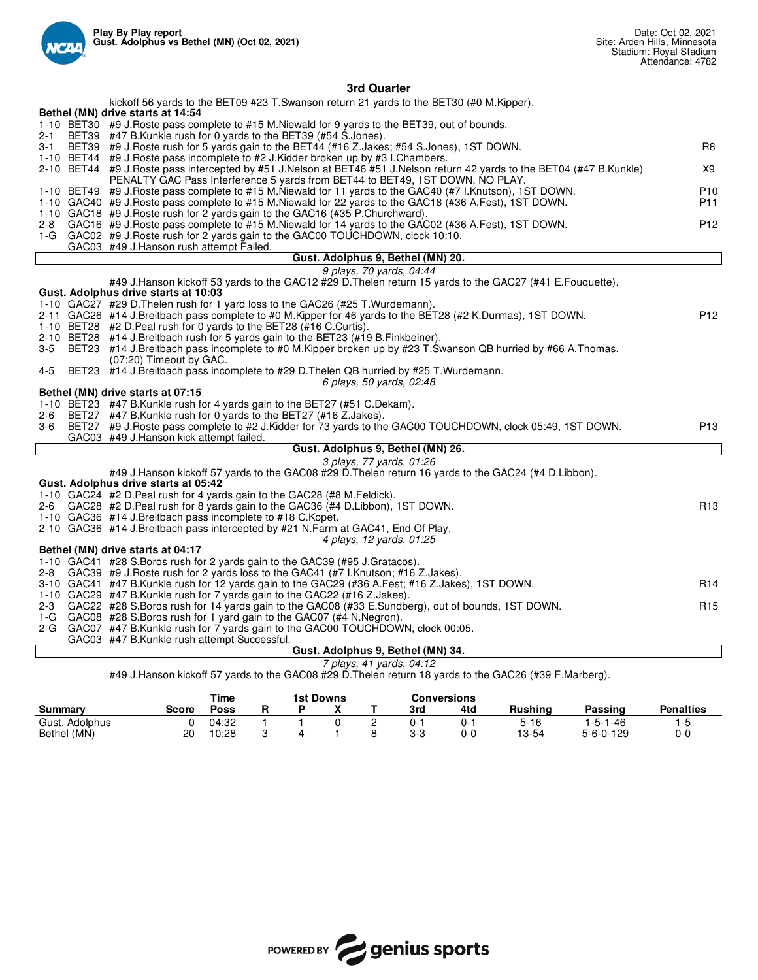

## **3rd Quarter**

|     | kickoff 56 yards to the BET09 #23 T.Swanson return 21 yards to the BET30 (#0 M.Kipper).                                                                                                      |                 |
|-----|----------------------------------------------------------------------------------------------------------------------------------------------------------------------------------------------|-----------------|
|     | Bethel (MN) drive starts at 14:54<br>1-10 BET30 #9 J.Roste pass complete to #15 M.Niewald for 9 yards to the BET39, out of bounds.                                                           |                 |
| 2-1 | BET39 #47 B.Kunkle rush for 0 yards to the BET39 (#54 S.Jones).                                                                                                                              |                 |
| 3-1 | BET39 #9 J. Roste rush for 5 yards gain to the BET44 (#16 Z. Jakes; #54 S. Jones), 1ST DOWN.                                                                                                 | R <sub>8</sub>  |
|     | 1-10 BET44 #9 J.Roste pass incomplete to #2 J.Kidder broken up by #3 I.Chambers.                                                                                                             |                 |
|     | 2-10 BET44 #9 J.Roste pass intercepted by #51 J.Nelson at BET46 #51 J.Nelson return 42 yards to the BET04 (#47 B.Kunkle)                                                                     | X9              |
|     | PENALTY GAC Pass Interference 5 yards from BET44 to BET49, 1ST DOWN. NO PLAY.                                                                                                                |                 |
|     | 1-10 BET49 #9 J.Roste pass complete to #15 M.Niewald for 11 yards to the GAC40 (#7 I.Knutson), 1ST DOWN.                                                                                     | P <sub>10</sub> |
|     | 1-10 GAC40 #9 J.Roste pass complete to #15 M.Niewald for 22 yards to the GAC18 (#36 A.Fest), 1ST DOWN.<br>1-10 GAC18 #9 J. Roste rush for 2 yards gain to the GAC16 (#35 P. Churchward).     | P11             |
| 2-8 | GAC16 #9 J.Roste pass complete to #15 M.Niewald for 14 yards to the GAC02 (#36 A.Fest), 1ST DOWN.                                                                                            | P <sub>12</sub> |
|     | 1-G GAC02 #9 J.Roste rush for 2 yards gain to the GAC00 TOUCHDOWN, clock 10:10.                                                                                                              |                 |
|     | GAC03 #49 J.Hanson rush attempt Failed.                                                                                                                                                      |                 |
|     | Gust. Adolphus 9, Bethel (MN) 20.                                                                                                                                                            |                 |
|     | 9 plays, 70 yards, 04:44                                                                                                                                                                     |                 |
|     | #49 J.Hanson kickoff 53 yards to the GAC12 #29 D.Thelen return 15 yards to the GAC27 (#41 E.Fouquette).                                                                                      |                 |
|     | Gust. Adolphus drive starts at 10:03                                                                                                                                                         |                 |
|     | 1-10 GAC27 #29 D. Thelen rush for 1 yard loss to the GAC26 (#25 T. Wurdemann).<br>2-11 GAC26 #14 J.Breitbach pass complete to #0 M.Kipper for 46 yards to the BET28 (#2 K.Durmas), 1ST DOWN. | P <sub>12</sub> |
|     | 1-10 BET28 #2 D. Peal rush for 0 yards to the BET28 (#16 C. Curtis).                                                                                                                         |                 |
|     | 2-10 BET28 #14 J.Breitbach rush for 5 yards gain to the BET23 (#19 B.Finkbeiner).                                                                                                            |                 |
| 3-5 | BET23 #14 J.Breitbach pass incomplete to #0 M.Kipper broken up by #23 T.Swanson QB hurried by #66 A.Thomas.                                                                                  |                 |
|     | (07:20) Timeout by GAC.                                                                                                                                                                      |                 |
| 4-5 | BET23 #14 J.Breitbach pass incomplete to #29 D.Thelen QB hurried by #25 T.Wurdemann.                                                                                                         |                 |
|     | 6 plays, 50 yards, 02:48                                                                                                                                                                     |                 |
|     | Bethel (MN) drive starts at 07:15                                                                                                                                                            |                 |
| 2-6 | 1-10 BET23 #47 B.Kunkle rush for 4 yards gain to the BET27 (#51 C.Dekam).<br>BET27 #47 B.Kunkle rush for 0 yards to the BET27 (#16 Z.Jakes).                                                 |                 |
| 3-6 | BET27 #9 J.Roste pass complete to #2 J.Kidder for 73 yards to the GAC00 TOUCHDOWN, clock 05:49, 1ST DOWN.                                                                                    | P <sub>13</sub> |
|     | GAC03 #49 J.Hanson kick attempt failed.                                                                                                                                                      |                 |
|     | Gust. Adolphus 9, Bethel (MN) 26.                                                                                                                                                            |                 |
|     | 3 plays, 77 yards, 01:26                                                                                                                                                                     |                 |
|     | #49 J.Hanson kickoff 57 yards to the GAC08 #29 D.Thelen return 16 yards to the GAC24 (#4 D.Libbon).                                                                                          |                 |
|     | Gust. Adolphus drive starts at 05:42                                                                                                                                                         |                 |
|     | 1-10 GAC24 #2 D. Peal rush for 4 yards gain to the GAC28 (#8 M. Feldick).                                                                                                                    | R <sub>13</sub> |
|     | 2-6 GAC28 #2 D. Peal rush for 8 yards gain to the GAC36 (#4 D. Libbon), 1ST DOWN.<br>1-10 GAC36 #14 J.Breitbach pass incomplete to #18 C.Kopet.                                              |                 |
|     | 2-10 GAC36 #14 J.Breitbach pass intercepted by #21 N.Farm at GAC41, End Of Play.                                                                                                             |                 |
|     | 4 plays, 12 yards, 01:25                                                                                                                                                                     |                 |
|     | Bethel (MN) drive starts at 04:17                                                                                                                                                            |                 |
|     | 1-10 GAC41 #28 S.Boros rush for 2 yards gain to the GAC39 (#95 J.Gratacos).                                                                                                                  |                 |
| 2-8 | GAC39 #9 J. Roste rush for 2 yards loss to the GAC41 (#7 I. Knutson; #16 Z. Jakes).                                                                                                          |                 |
|     | 3-10 GAC41 #47 B.Kunkle rush for 12 yards gain to the GAC29 (#36 A.Fest; #16 Z.Jakes), 1ST DOWN.                                                                                             | R <sub>14</sub> |
|     | 1-10 GAC29 #47 B.Kunkle rush for 7 yards gain to the GAC22 (#16 Z.Jakes).                                                                                                                    |                 |
| 2-3 | GAC22 #28 S.Boros rush for 14 yards gain to the GAC08 (#33 E.Sundberg), out of bounds, 1ST DOWN.<br>1-G GAC08 #28 S. Boros rush for 1 yard gain to the GAC07 (#4 N. Negron).                 | R <sub>15</sub> |
|     | 2-G GAC07 #47 B.Kunkle rush for 7 yards gain to the GAC00 TOUCHDOWN, clock 00:05.                                                                                                            |                 |
|     | GAC03 #47 B.Kunkle rush attempt Successful.                                                                                                                                                  |                 |
|     | Gust. Adolphus 9, Bethel (MN) 34.                                                                                                                                                            |                 |
|     |                                                                                                                                                                                              |                 |

#49 J.Hanson kickoff 57 yards to the GAC08 #29 D.Thelen return 18 yards to the GAC26 (#39 F.Marberg).

|                |              | Time  | 1st Downs |  |  |     | <b>Conversions</b> |          |                   |                  |
|----------------|--------------|-------|-----------|--|--|-----|--------------------|----------|-------------------|------------------|
| Summarv        | <b>Score</b> | Poss  |           |  |  | 3rd | 4td                | Rushina  | Passing           | <b>Penalties</b> |
| Gust. Adolphus |              | 04:32 |           |  |  | 0-  | 0-1                | $5 - 16$ | i -5-1-46         | ت−'              |
| Bethel (MN)    | 20           | 10:28 |           |  |  | 3-3 | 0-0                | 13-54    | $5 - 6 - 0 - 129$ | 0-C              |

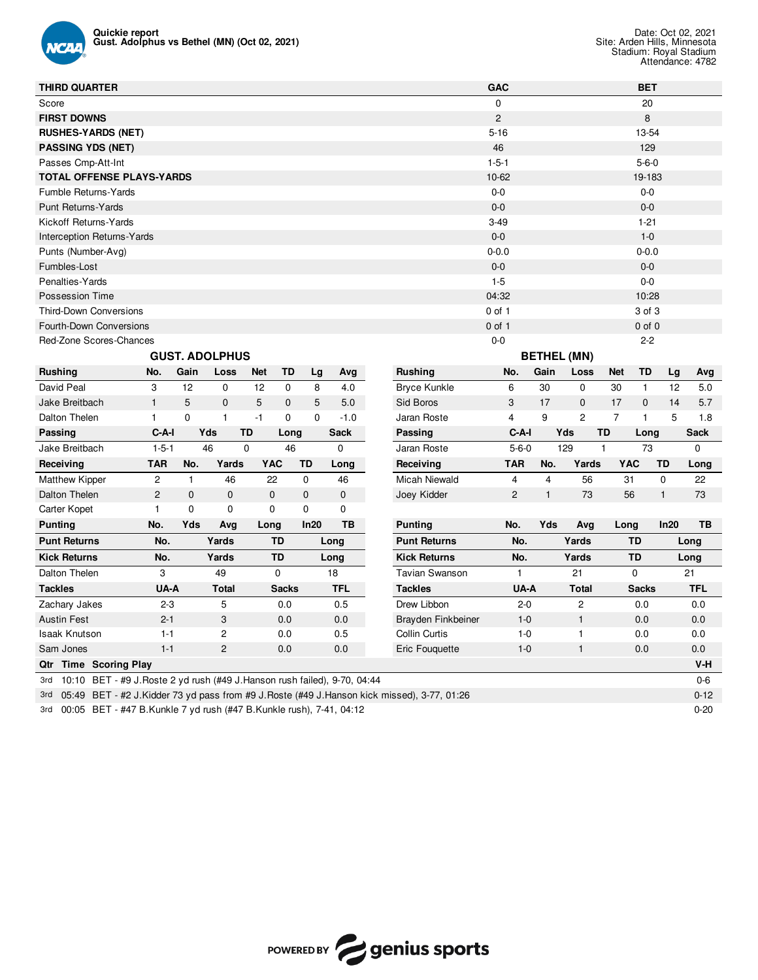

| <b>THIRD QUARTER</b>                                                                              |                |              |                       |             |              |             |             |                       | <b>GAC</b>     |              |                    |                | <b>BET</b>   |              |             |
|---------------------------------------------------------------------------------------------------|----------------|--------------|-----------------------|-------------|--------------|-------------|-------------|-----------------------|----------------|--------------|--------------------|----------------|--------------|--------------|-------------|
| Score                                                                                             |                |              |                       |             |              |             |             |                       | $\mathbf 0$    |              |                    |                | 20           |              |             |
| <b>FIRST DOWNS</b>                                                                                |                |              |                       |             |              |             |             |                       | $\overline{c}$ |              |                    |                | 8            |              |             |
| <b>RUSHES-YARDS (NET)</b>                                                                         |                |              |                       |             |              |             |             |                       | $5 - 16$       |              |                    |                | 13-54        |              |             |
| <b>PASSING YDS (NET)</b>                                                                          |                |              |                       |             |              |             |             |                       | 46             |              |                    |                | 129          |              |             |
| Passes Cmp-Att-Int                                                                                |                |              |                       |             |              |             |             |                       | $1 - 5 - 1$    |              |                    |                | $5 - 6 - 0$  |              |             |
| <b>TOTAL OFFENSE PLAYS-YARDS</b>                                                                  |                |              |                       |             |              |             |             |                       | 10-62          |              |                    |                | 19-183       |              |             |
| Fumble Returns-Yards                                                                              |                |              |                       |             |              |             |             |                       | $0 - 0$        |              |                    |                | $0-0$        |              |             |
| <b>Punt Returns-Yards</b>                                                                         |                |              |                       |             |              |             |             |                       | $0 - 0$        |              |                    |                | $0-0$        |              |             |
| Kickoff Returns-Yards                                                                             |                |              |                       |             |              |             |             |                       | $3-49$         |              |                    |                | $1 - 21$     |              |             |
| <b>Interception Returns-Yards</b>                                                                 |                |              |                       |             |              |             |             |                       | $0 - 0$        |              |                    |                | $1-0$        |              |             |
| Punts (Number-Avg)                                                                                |                |              |                       |             |              |             |             |                       | $0 - 0.0$      |              |                    |                | $0 - 0.0$    |              |             |
| Fumbles-Lost                                                                                      |                |              |                       |             |              |             |             |                       | $0-0$          |              |                    |                | $0-0$        |              |             |
| Penalties-Yards                                                                                   |                |              |                       |             |              |             |             |                       | $1 - 5$        |              |                    |                | $0-0$        |              |             |
| Possession Time                                                                                   |                |              |                       |             |              |             |             |                       | 04:32          |              |                    |                | 10:28        |              |             |
| Third-Down Conversions                                                                            |                |              |                       |             |              |             |             |                       | $0$ of 1       |              |                    |                | 3 of 3       |              |             |
| Fourth-Down Conversions                                                                           |                |              |                       |             |              |             |             |                       | $0$ of 1       |              |                    |                | $0$ of $0$   |              |             |
| Red-Zone Scores-Chances                                                                           |                |              |                       |             |              |             |             |                       | $0-0$          |              |                    |                | $2 - 2$      |              |             |
|                                                                                                   |                |              | <b>GUST. ADOLPHUS</b> |             |              |             |             |                       |                |              | <b>BETHEL (MN)</b> |                |              |              |             |
| <b>Rushing</b>                                                                                    | No.            | Gain         | Loss                  | <b>Net</b>  | TD           | Lg          | Avg         | <b>Rushing</b>        | No.            | Gain         | Loss               | <b>Net</b>     | TD           | Lg           | Avg         |
| David Peal                                                                                        | 3              | 12           | $\mathbf 0$           | 12          | $\mathbf 0$  | 8           | 4.0         | <b>Bryce Kunkle</b>   | 6              | 30           | $\mathbf 0$        | 30             | $\mathbf{1}$ | 12           | 5.0         |
| Jake Breitbach                                                                                    | $\mathbf{1}$   | 5            | $\mathbf{0}$          | 5           | $\mathbf 0$  | 5           | 5.0         | Sid Boros             | 3              | 17           | $\mathbf 0$        | 17             | $\mathbf 0$  | 14           | 5.7         |
| Dalton Thelen                                                                                     | $\mathbf{1}$   | $\mathbf 0$  | $\mathbf{1}$          | $-1$        | $\mathbf 0$  | $\mathbf 0$ | $-1.0$      | Jaran Roste           | $\overline{4}$ | 9            | $\overline{2}$     | $\overline{7}$ | $\mathbf{1}$ | 5            | 1.8         |
| Passing                                                                                           | $C-A-I$        |              | Yds                   | <b>TD</b>   | Long         |             | <b>Sack</b> | Passing               | $C-A-I$        |              | Yds                | TD             | Long         |              | <b>Sack</b> |
| Jake Breitbach                                                                                    | $1 - 5 - 1$    |              | 46                    | 0           | 46           |             | 0           | Jaran Roste           | $5 - 6 - 0$    |              | 129                | $\mathbf{1}$   | 73           |              | 0           |
| Receiving                                                                                         | <b>TAR</b>     | No.          | Yards                 | <b>YAC</b>  |              | TD          | Long        | Receiving             | <b>TAR</b>     | No.          | Yards              |                | <b>YAC</b>   | TD           | Long        |
| <b>Matthew Kipper</b>                                                                             | 2              | $\mathbf{1}$ | 46                    | 22          |              | $\mathbf 0$ | 46          | <b>Micah Niewald</b>  | 4              | 4            | 56                 | 31             |              | $\mathbf 0$  | 22          |
| Dalton Thelen                                                                                     | $\overline{c}$ | $\mathbf 0$  | $\mathbf 0$           | 0           |              | $\mathbf 0$ | 0           | Joey Kidder           | $\mathbf{2}$   | $\mathbf{1}$ | 73                 |                | 56           | $\mathbf{1}$ | 73          |
| Carter Kopet                                                                                      | $\mathbf{1}$   | $\mathbf 0$  | $\mathbf 0$           | $\mathbf 0$ |              | $\mathbf 0$ | 0           |                       |                |              |                    |                |              |              |             |
| <b>Punting</b>                                                                                    | No.            | Yds          | Avg                   | Long        |              | In20        | TB          | <b>Punting</b>        | No.            | Yds          | Avg                | Long           |              | In20         | TВ          |
| <b>Punt Returns</b>                                                                               | No.            |              | Yards                 |             | TD           |             | Long        | <b>Punt Returns</b>   | No.            |              | Yards              |                | <b>TD</b>    |              | Long        |
| <b>Kick Returns</b>                                                                               | No.            |              | Yards                 |             | <b>TD</b>    |             | Long        | <b>Kick Returns</b>   | No.            |              | Yards              |                | TD           |              | Long        |
| Dalton Thelen                                                                                     | 3              |              | 49                    |             | $\Omega$     |             | 18          | <b>Tavian Swanson</b> | $\mathbf{1}$   |              | 21                 |                | $\Omega$     |              | 21          |
| <b>Tackles</b>                                                                                    | UA-A           |              | <b>Total</b>          |             | <b>Sacks</b> |             | <b>TFL</b>  | <b>Tackles</b>        | UA-A           |              | <b>Total</b>       |                | <b>Sacks</b> |              | <b>TFL</b>  |
| Zachary Jakes                                                                                     | $2 - 3$        |              | 5                     |             | 0.0          |             | 0.5         | Drew Libbon           | $2 - 0$        |              | $\overline{c}$     |                | 0.0          |              | 0.0         |
| <b>Austin Fest</b>                                                                                | $2 - 1$        |              | 3                     |             | 0.0          |             | 0.0         | Brayden Finkbeiner    | $1 - 0$        |              | $\mathbf{1}$       |                | 0.0          |              | 0.0         |
| <b>Isaak Knutson</b>                                                                              | $1 - 1$        |              | 2                     |             | 0.0          |             | 0.5         | <b>Collin Curtis</b>  | $1 - 0$        |              | $\mathbf{1}$       |                | 0.0          |              | 0.0         |
| Sam Jones                                                                                         | $1 - 1$        |              | $\overline{c}$        |             | 0.0          |             | 0.0         | Eric Fouguette        | $1 - 0$        |              | 1                  |                | 0.0          |              | 0.0         |
| Qtr Time Scoring Play                                                                             |                |              |                       |             |              |             |             |                       |                |              |                    |                |              |              | $V-H$       |
| 10:10 BET - #9 J. Roste 2 yd rush (#49 J. Hanson rush failed), 9-70, 04:44<br>3rd                 |                |              |                       |             |              |             |             |                       |                |              |                    |                |              |              | $0-6$       |
| 05:49 BET - #2 J.Kidder 73 yd pass from #9 J.Roste (#49 J.Hanson kick missed), 3-77, 01:26<br>3rd |                |              |                       |             |              |             |             |                       |                |              |                    |                |              |              | $0 - 12$    |

3rd 00:05 BET - #47 B.Kunkle 7 yd rush (#47 B.Kunkle rush), 7-41, 04:12 0-20

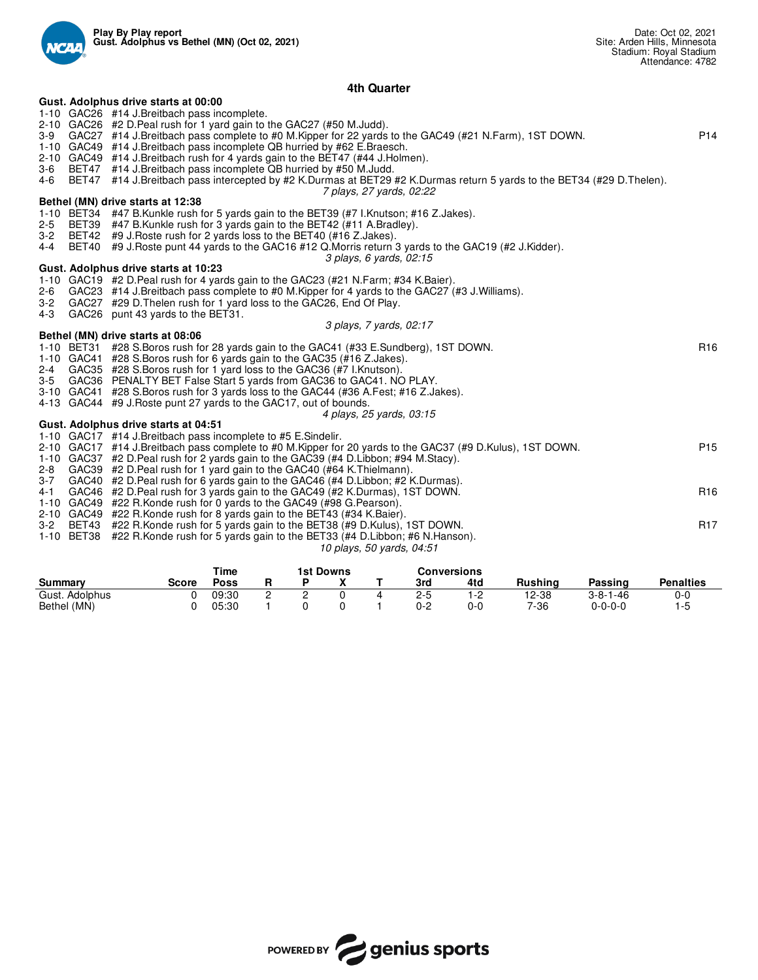

## **4th Quarter**

|         | Gust. Adolphus drive starts at 00:00                                                                                                                   |                 |
|---------|--------------------------------------------------------------------------------------------------------------------------------------------------------|-----------------|
|         | 1-10 GAC26 #14 J.Breitbach pass incomplete.                                                                                                            |                 |
|         | 2-10 GAC26 #2 D. Peal rush for 1 yard gain to the GAC27 (#50 M. Judd).                                                                                 |                 |
|         | 3-9 GAC27 #14 J.Breitbach pass complete to #0 M.Kipper for 22 yards to the GAC49 (#21 N.Farm), 1ST DOWN.                                               | P <sub>14</sub> |
|         | 1-10 GAC49 #14 J.Breitbach pass incomplete QB hurried by #62 E.Braesch.                                                                                |                 |
|         | 2-10 GAC49 #14 J.Breitbach rush for 4 yards gain to the BET47 (#44 J.Holmen).                                                                          |                 |
|         | 3-6 BET47 #14 J.Breitbach pass incomplete QB hurried by #50 M.Judd.                                                                                    |                 |
|         | 4-6 BET47 #14 J.Breitbach pass intercepted by #2 K.Durmas at BET29 #2 K.Durmas return 5 yards to the BET34 (#29 D.Thelen).<br>7 plays, 27 yards, 02:22 |                 |
|         | Bethel (MN) drive starts at 12:38                                                                                                                      |                 |
|         | 1-10 BET34 #47 B. Kunkle rush for 5 yards gain to the BET39 (#7 I. Knutson; #16 Z. Jakes).                                                             |                 |
| $2 - 5$ | BET39 #47 B.Kunkle rush for 3 yards gain to the BET42 (#11 A.Bradley).                                                                                 |                 |
|         | 3-2 BET42 #9 J. Roste rush for 2 yards loss to the BET40 (#16 Z. Jakes).                                                                               |                 |
| $4 - 4$ | BET40 #9 J.Roste punt 44 yards to the GAC16 #12 Q.Morris return 3 yards to the GAC19 (#2 J.Kidder).                                                    |                 |
|         | 3 plays, 6 yards, 02:15                                                                                                                                |                 |
|         | Gust. Adolphus drive starts at 10:23                                                                                                                   |                 |
|         | 1-10 GAC19 #2 D. Peal rush for 4 yards gain to the GAC23 (#21 N. Farm; #34 K. Baier).                                                                  |                 |
|         | 2-6 GAC23 #14 J.Breitbach pass complete to #0 M.Kipper for 4 yards to the GAC27 (#3 J.Williams).                                                       |                 |
|         | 3-2 GAC27 #29 D. Thelen rush for 1 yard loss to the GAC26, End Of Play.                                                                                |                 |
|         | 4-3 GAC26 punt 43 yards to the BET31.                                                                                                                  |                 |
|         | 3 plays, 7 yards, 02:17                                                                                                                                |                 |
|         | Bethel (MN) drive starts at 08:06                                                                                                                      |                 |
|         | 1-10 BET31 #28 S.Boros rush for 28 yards gain to the GAC41 (#33 E.Sundberg), 1ST DOWN.                                                                 | R <sub>16</sub> |
|         | 1-10 GAC41 #28 S. Boros rush for 6 yards gain to the GAC35 (#16 Z. Jakes).                                                                             |                 |
|         | 2-4 GAC35 #28 S.Boros rush for 1 yard loss to the GAC36 (#7 I.Knutson).                                                                                |                 |
|         | 3-5 GAC36 PENALTY BET False Start 5 yards from GAC36 to GAC41. NO PLAY.                                                                                |                 |
|         | 3-10 GAC41 #28 S.Boros rush for 3 yards loss to the GAC44 (#36 A.Fest; #16 Z.Jakes).                                                                   |                 |
|         | 4-13 GAC44 #9 J. Roste punt 27 yards to the GAC17, out of bounds.                                                                                      |                 |
|         | 4 plays, 25 yards, 03:15<br>Gust. Adolphus drive starts at 04:51                                                                                       |                 |
|         | 1-10 GAC17 #14 J.Breitbach pass incomplete to #5 E.Sindelir.                                                                                           |                 |
|         | 2-10 GAC17 #14 J.Breitbach pass complete to #0 M.Kipper for 20 yards to the GAC37 (#9 D.Kulus), 1ST DOWN.                                              | P <sub>15</sub> |
|         | 1-10 GAC37 #2 D. Peal rush for 2 yards gain to the GAC39 (#4 D. Libbon; #94 M. Stacy).                                                                 |                 |
|         | 2-8 GAC39 #2 D. Peal rush for 1 yard gain to the GAC40 (#64 K. Thielmann).                                                                             |                 |
|         | 3-7 GAC40 #2 D. Peal rush for 6 yards gain to the GAC46 (#4 D. Libbon; #2 K. Durmas).                                                                  |                 |
| 4-1     | GAC46 #2 D. Peal rush for 3 yards gain to the GAC49 (#2 K. Durmas), 1ST DOWN.                                                                          | R <sub>16</sub> |
|         | 1-10 GAC49 #22 R.Konde rush for 0 yards to the GAC49 (#98 G.Pearson).                                                                                  |                 |
|         | 2-10 GAC49 #22 R.Konde rush for 8 yards gain to the BET43 (#34 K.Baier).                                                                               |                 |
|         | 3-2 BET43 #22 R.Konde rush for 5 yards gain to the BET38 (#9 D.Kulus), 1ST DOWN.                                                                       | R <sub>17</sub> |
|         | 1-10 BET38 #22 R.Konde rush for 5 yards gain to the BET33 (#4 D.Libbon; #6 N.Hanson).                                                                  |                 |

*10 plays, 50 yards, 04:51*

|                |       | Time  | <b>1st Downs</b> |  |  |  | Conversions |     |         |                  |                  |  |
|----------------|-------|-------|------------------|--|--|--|-------------|-----|---------|------------------|------------------|--|
| Summary        | Score | Poss  |                  |  |  |  | 3rd         | 4td | Rushina | Passing          | <b>Penalties</b> |  |
| Gust. Adolphus |       | 09:30 | -                |  |  |  | 2-5         | 1-2 | 12-38   | $3 - 8 - 1 - 46$ | 0-C              |  |
| Bethel (MN)    |       | 05:30 |                  |  |  |  | 0-2         | 0-0 | 7-36    | $0 - 0 - 0 - 0$  | 1.5              |  |